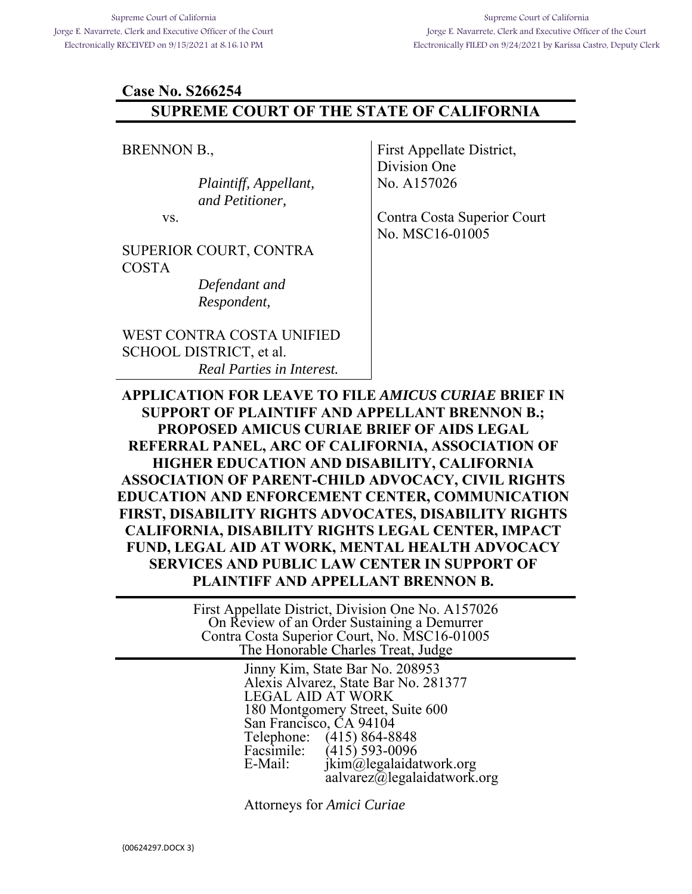#### **Case No. S266254**

### **SUPREME COURT OF THE STATE OF CALIFORNIA**

BRENNON B.,

*Plaintiff, Appellant, and Petitioner,* 

vs.

SUPERIOR COURT, CONTRA COSTA

> *Defendant and Respondent,*

WEST CONTRA COSTA UNIFIED SCHOOL DISTRICT, et al. *Real Parties in Interest.* 

First Appellate District, Division One No. A157026

Contra Costa Superior Court No. MSC16-01005

**APPLICATION FOR LEAVE TO FILE** *AMICUS CURIAE* **BRIEF IN SUPPORT OF PLAINTIFF AND APPELLANT BRENNON B.; PROPOSED AMICUS CURIAE BRIEF OF AIDS LEGAL REFERRAL PANEL, ARC OF CALIFORNIA, ASSOCIATION OF HIGHER EDUCATION AND DISABILITY, CALIFORNIA ASSOCIATION OF PARENT-CHILD ADVOCACY, CIVIL RIGHTS EDUCATION AND ENFORCEMENT CENTER, COMMUNICATION FIRST, DISABILITY RIGHTS ADVOCATES, DISABILITY RIGHTS CALIFORNIA, DISABILITY RIGHTS LEGAL CENTER, IMPACT FUND, LEGAL AID AT WORK, MENTAL HEALTH ADVOCACY SERVICES AND PUBLIC LAW CENTER IN SUPPORT OF PLAINTIFF AND APPELLANT BRENNON B.** 

> First Appellate District, Division One No. A157026 On Review of an Order Sustaining a Demurrer Contra Costa Superior Court, No. MSC16-01005 The Honorable Charles Treat, Judge

> > Jinny Kim, State Bar No. 208953 Alexis Alvarez, State Bar No. 281377 LEGAL AID AT WORK 180 Montgomery Street, Suite 600 San Francisco, CA 94104 Telephone: (415) 864-8848<br>Facsimile: (415) 593-0096 Facsimile: (415) 593-0096<br>E-Mail: ikim@legalaida  $ikim@$ legalaidatwork.org aalvarez@legalaidatwork.org

Attorneys for *Amici Curiae*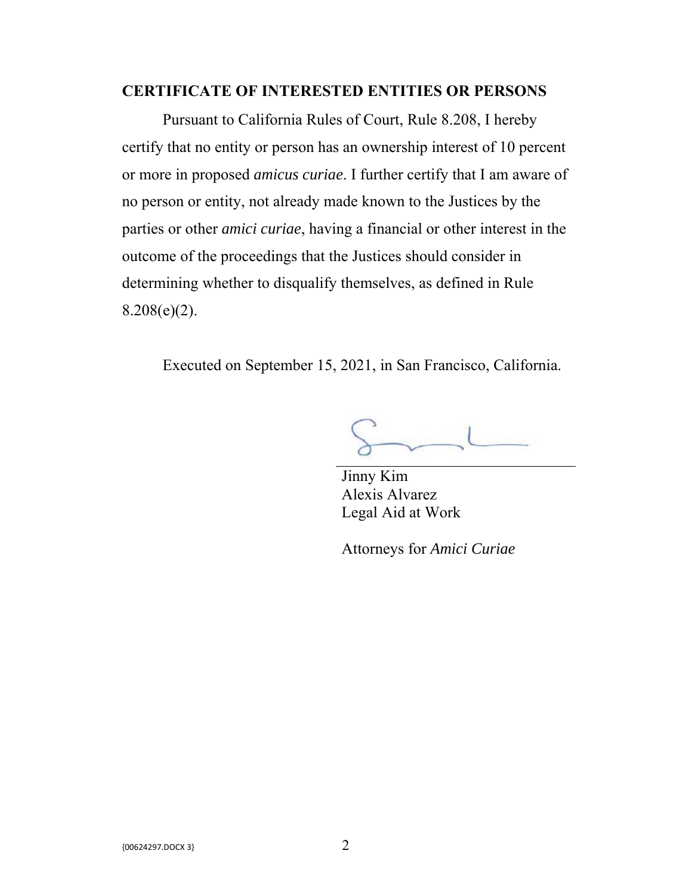### **CERTIFICATE OF INTERESTED ENTITIES OR PERSONS**

 Pursuant to California Rules of Court, Rule 8.208, I hereby certify that no entity or person has an ownership interest of 10 percent or more in proposed *amicus curiae*. I further certify that I am aware of no person or entity, not already made known to the Justices by the parties or other *amici curiae*, having a financial or other interest in the outcome of the proceedings that the Justices should consider in determining whether to disqualify themselves, as defined in Rule  $8.208(e)(2)$ .

Executed on September 15, 2021, in San Francisco, California.

 $S-1$ 

Jinny Kim Alexis Alvarez Legal Aid at Work

Attorneys for *Amici Curiae*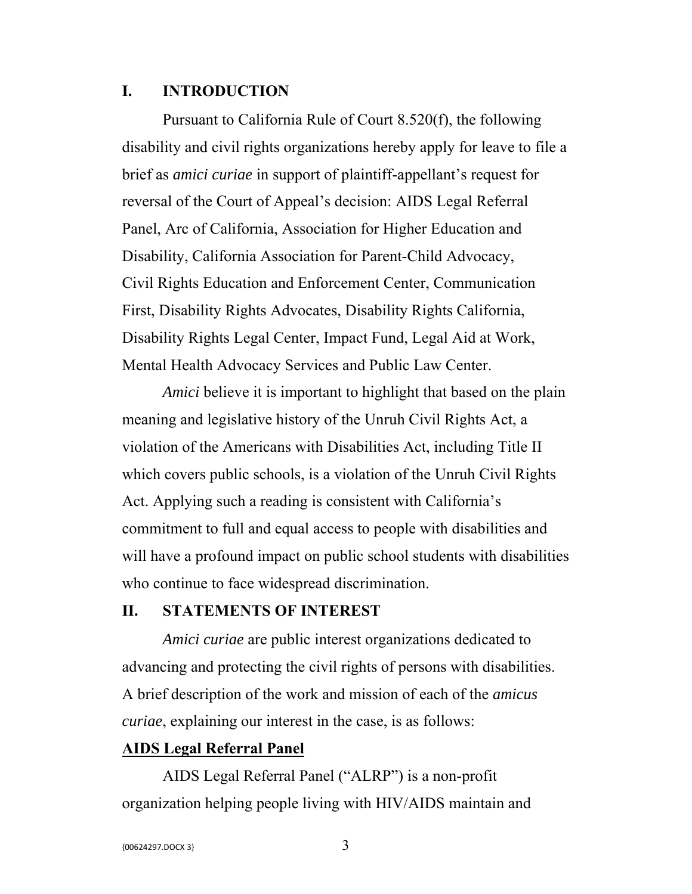### **I. INTRODUCTION**

 Pursuant to California Rule of Court 8.520(f), the following disability and civil rights organizations hereby apply for leave to file a brief as *amici curiae* in support of plaintiff-appellant's request for reversal of the Court of Appeal's decision: AIDS Legal Referral Panel, Arc of California, Association for Higher Education and Disability, California Association for Parent-Child Advocacy, Civil Rights Education and Enforcement Center, Communication First, Disability Rights Advocates, Disability Rights California, Disability Rights Legal Center, Impact Fund, Legal Aid at Work, Mental Health Advocacy Services and Public Law Center.

*Amici* believe it is important to highlight that based on the plain meaning and legislative history of the Unruh Civil Rights Act, a violation of the Americans with Disabilities Act, including Title II which covers public schools, is a violation of the Unruh Civil Rights Act. Applying such a reading is consistent with California's commitment to full and equal access to people with disabilities and will have a profound impact on public school students with disabilities who continue to face widespread discrimination.

### **II. STATEMENTS OF INTEREST**

 *Amici curiae* are public interest organizations dedicated to advancing and protecting the civil rights of persons with disabilities. A brief description of the work and mission of each of the *amicus curiae*, explaining our interest in the case, is as follows:

## **AIDS Legal Referral Panel**

AIDS Legal Referral Panel ("ALRP") is a non-profit organization helping people living with HIV/AIDS maintain and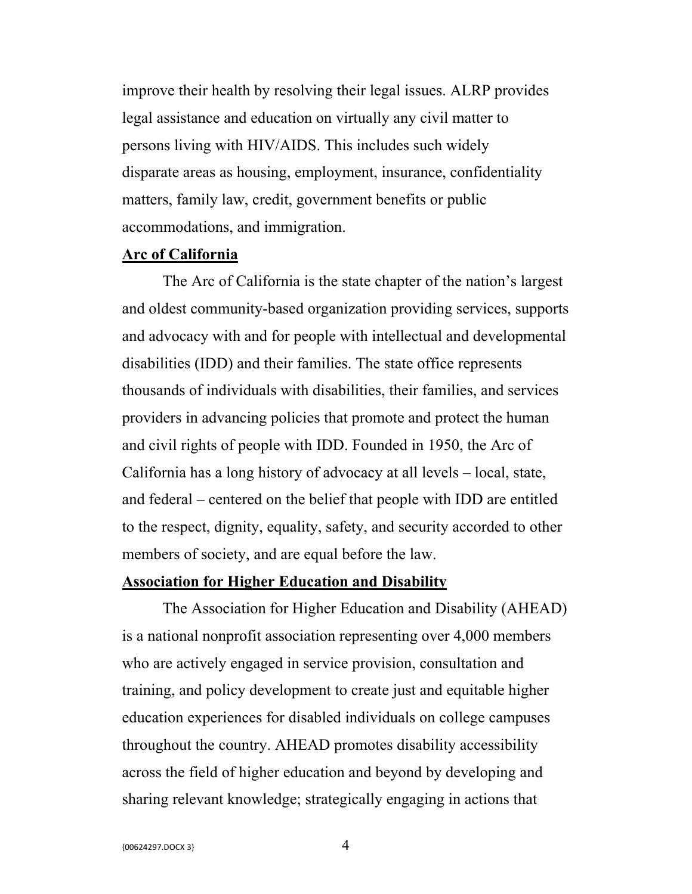improve their health by resolving their legal issues. ALRP provides legal assistance and education on virtually any civil matter to persons living with HIV/AIDS. This includes such widely disparate areas as housing, employment, insurance, confidentiality matters, family law, credit, government benefits or public accommodations, and immigration.

### **Arc of California**

The Arc of California is the state chapter of the nation's largest and oldest community-based organization providing services, supports and advocacy with and for people with intellectual and developmental disabilities (IDD) and their families. The state office represents thousands of individuals with disabilities, their families, and services providers in advancing policies that promote and protect the human and civil rights of people with IDD. Founded in 1950, the Arc of California has a long history of advocacy at all levels – local, state, and federal – centered on the belief that people with IDD are entitled to the respect, dignity, equality, safety, and security accorded to other members of society, and are equal before the law.

### **Association for Higher Education and Disability**

The Association for Higher Education and Disability (AHEAD) is a national nonprofit association representing over 4,000 members who are actively engaged in service provision, consultation and training, and policy development to create just and equitable higher education experiences for disabled individuals on college campuses throughout the country. AHEAD promotes disability accessibility across the field of higher education and beyond by developing and sharing relevant knowledge; strategically engaging in actions that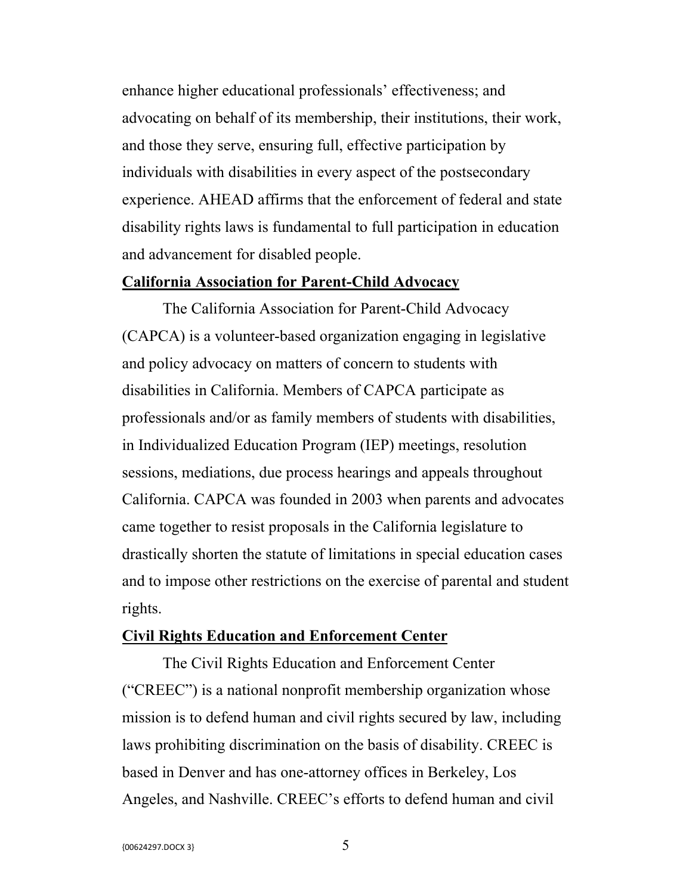enhance higher educational professionals' effectiveness; and advocating on behalf of its membership, their institutions, their work, and those they serve, ensuring full, effective participation by individuals with disabilities in every aspect of the postsecondary experience. AHEAD affirms that the enforcement of federal and state disability rights laws is fundamental to full participation in education and advancement for disabled people.

### **California Association for Parent-Child Advocacy**

The California Association for Parent-Child Advocacy (CAPCA) is a volunteer-based organization engaging in legislative and policy advocacy on matters of concern to students with disabilities in California. Members of CAPCA participate as professionals and/or as family members of students with disabilities, in Individualized Education Program (IEP) meetings, resolution sessions, mediations, due process hearings and appeals throughout California. CAPCA was founded in 2003 when parents and advocates came together to resist proposals in the California legislature to drastically shorten the statute of limitations in special education cases and to impose other restrictions on the exercise of parental and student rights.

#### **Civil Rights Education and Enforcement Center**

The Civil Rights Education and Enforcement Center ("CREEC") is a national nonprofit membership organization whose mission is to defend human and civil rights secured by law, including laws prohibiting discrimination on the basis of disability. CREEC is based in Denver and has one-attorney offices in Berkeley, Los Angeles, and Nashville. CREEC's efforts to defend human and civil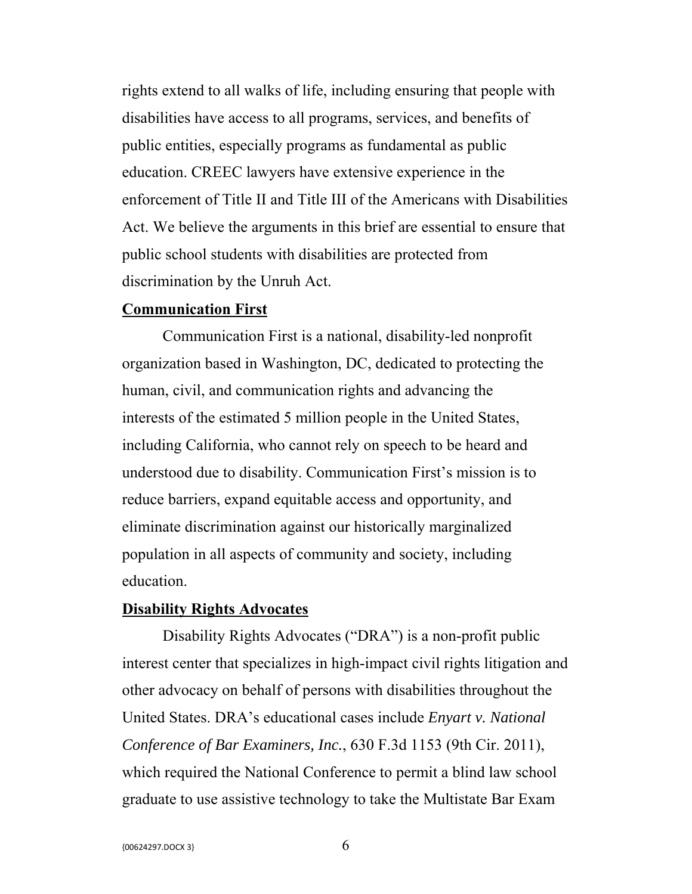rights extend to all walks of life, including ensuring that people with disabilities have access to all programs, services, and benefits of public entities, especially programs as fundamental as public education. CREEC lawyers have extensive experience in the enforcement of Title II and Title III of the Americans with Disabilities Act. We believe the arguments in this brief are essential to ensure that public school students with disabilities are protected from discrimination by the Unruh Act.

#### **Communication First**

Communication First is a national, disability-led nonprofit organization based in Washington, DC, dedicated to protecting the human, civil, and communication rights and advancing the interests of the estimated 5 million people in the United States, including California, who cannot rely on speech to be heard and understood due to disability. Communication First's mission is to reduce barriers, expand equitable access and opportunity, and eliminate discrimination against our historically marginalized population in all aspects of community and society, including education.

### **Disability Rights Advocates**

Disability Rights Advocates ("DRA") is a non-profit public interest center that specializes in high-impact civil rights litigation and other advocacy on behalf of persons with disabilities throughout the United States. DRA's educational cases include *Enyart v. National Conference of Bar Examiners, Inc.*, 630 F.3d 1153 (9th Cir. 2011), which required the National Conference to permit a blind law school graduate to use assistive technology to take the Multistate Bar Exam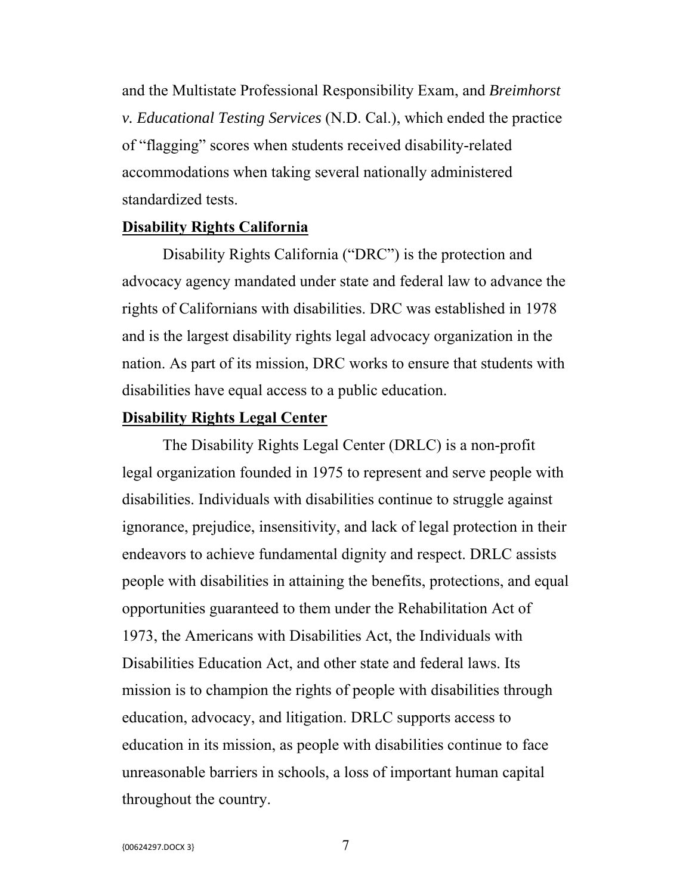and the Multistate Professional Responsibility Exam, and *Breimhorst v. Educational Testing Services* (N.D. Cal.), which ended the practice of "flagging" scores when students received disability-related accommodations when taking several nationally administered standardized tests.

#### **Disability Rights California**

Disability Rights California ("DRC") is the protection and advocacy agency mandated under state and federal law to advance the rights of Californians with disabilities. DRC was established in 1978 and is the largest disability rights legal advocacy organization in the nation. As part of its mission, DRC works to ensure that students with disabilities have equal access to a public education.

### **Disability Rights Legal Center**

The Disability Rights Legal Center (DRLC) is a non-profit legal organization founded in 1975 to represent and serve people with disabilities. Individuals with disabilities continue to struggle against ignorance, prejudice, insensitivity, and lack of legal protection in their endeavors to achieve fundamental dignity and respect. DRLC assists people with disabilities in attaining the benefits, protections, and equal opportunities guaranteed to them under the Rehabilitation Act of 1973, the Americans with Disabilities Act, the Individuals with Disabilities Education Act, and other state and federal laws. Its mission is to champion the rights of people with disabilities through education, advocacy, and litigation. DRLC supports access to education in its mission, as people with disabilities continue to face unreasonable barriers in schools, a loss of important human capital throughout the country.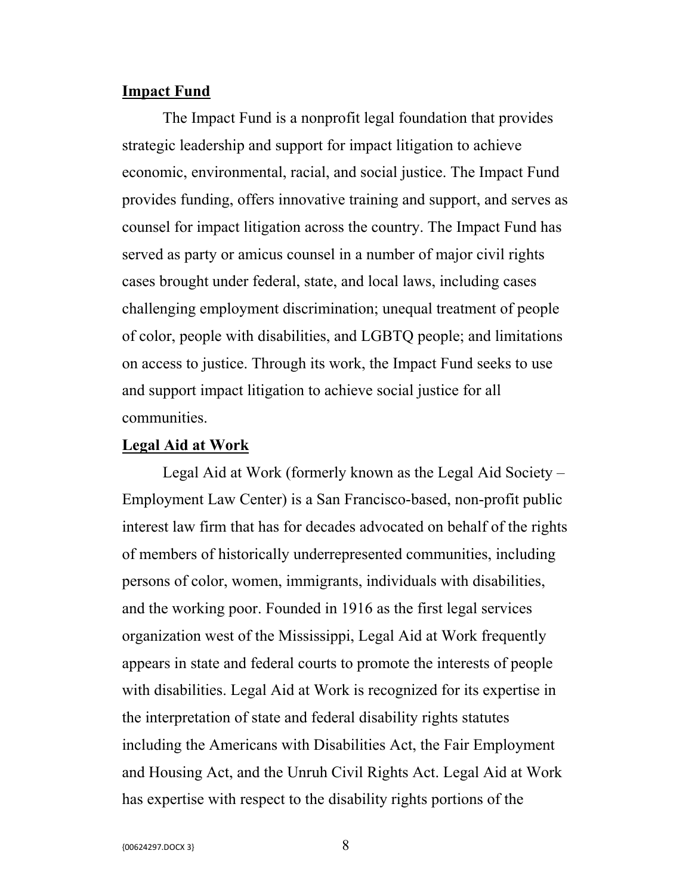### **Impact Fund**

The Impact Fund is a nonprofit legal foundation that provides strategic leadership and support for impact litigation to achieve economic, environmental, racial, and social justice. The Impact Fund provides funding, offers innovative training and support, and serves as counsel for impact litigation across the country. The Impact Fund has served as party or amicus counsel in a number of major civil rights cases brought under federal, state, and local laws, including cases challenging employment discrimination; unequal treatment of people of color, people with disabilities, and LGBTQ people; and limitations on access to justice. Through its work, the Impact Fund seeks to use and support impact litigation to achieve social justice for all communities.

#### **Legal Aid at Work**

Legal Aid at Work (formerly known as the Legal Aid Society – Employment Law Center) is a San Francisco-based, non-profit public interest law firm that has for decades advocated on behalf of the rights of members of historically underrepresented communities, including persons of color, women, immigrants, individuals with disabilities, and the working poor. Founded in 1916 as the first legal services organization west of the Mississippi, Legal Aid at Work frequently appears in state and federal courts to promote the interests of people with disabilities. Legal Aid at Work is recognized for its expertise in the interpretation of state and federal disability rights statutes including the Americans with Disabilities Act, the Fair Employment and Housing Act, and the Unruh Civil Rights Act. Legal Aid at Work has expertise with respect to the disability rights portions of the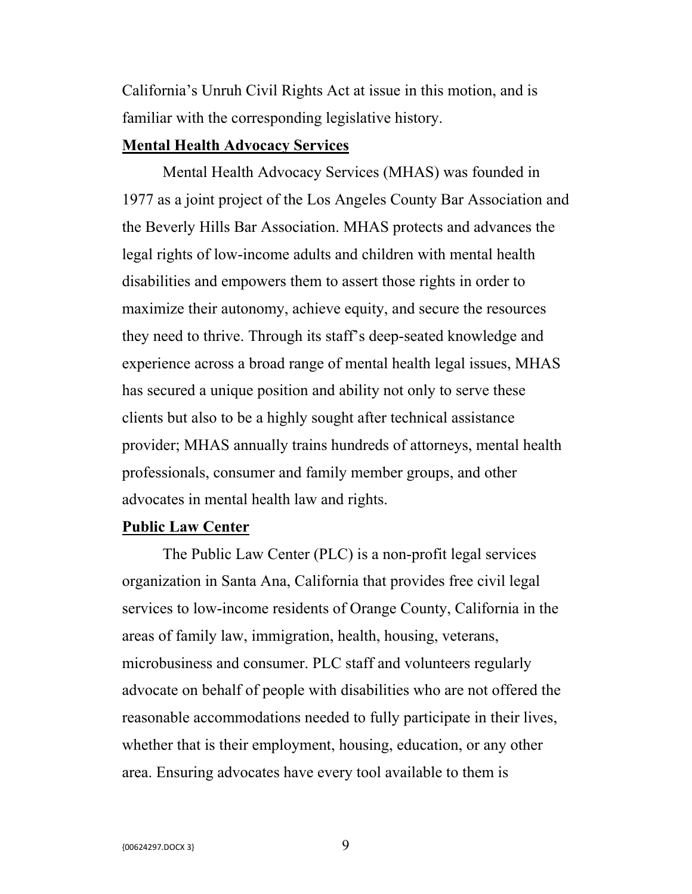California's Unruh Civil Rights Act at issue in this motion, and is familiar with the corresponding legislative history.

### **Mental Health Advocacy Services**

Mental Health Advocacy Services (MHAS) was founded in 1977 as a joint project of the Los Angeles County Bar Association and the Beverly Hills Bar Association. MHAS protects and advances the legal rights of low-income adults and children with mental health disabilities and empowers them to assert those rights in order to maximize their autonomy, achieve equity, and secure the resources they need to thrive. Through its staff's deep-seated knowledge and experience across a broad range of mental health legal issues, MHAS has secured a unique position and ability not only to serve these clients but also to be a highly sought after technical assistance provider; MHAS annually trains hundreds of attorneys, mental health professionals, consumer and family member groups, and other advocates in mental health law and rights.

#### **Public Law Center**

The Public Law Center (PLC) is a non-profit legal services organization in Santa Ana, California that provides free civil legal services to low-income residents of Orange County, California in the areas of family law, immigration, health, housing, veterans, microbusiness and consumer. PLC staff and volunteers regularly advocate on behalf of people with disabilities who are not offered the reasonable accommodations needed to fully participate in their lives, whether that is their employment, housing, education, or any other area. Ensuring advocates have every tool available to them is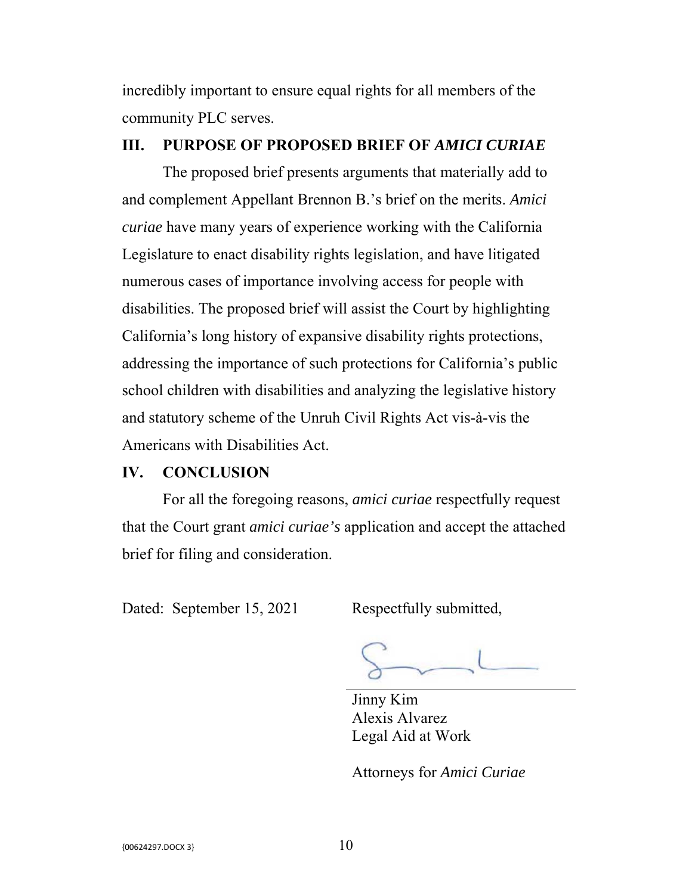incredibly important to ensure equal rights for all members of the community PLC serves.

### **III. PURPOSE OF PROPOSED BRIEF OF** *AMICI CURIAE*

 The proposed brief presents arguments that materially add to and complement Appellant Brennon B.'s brief on the merits. *Amici curiae* have many years of experience working with the California Legislature to enact disability rights legislation, and have litigated numerous cases of importance involving access for people with disabilities. The proposed brief will assist the Court by highlighting California's long history of expansive disability rights protections, addressing the importance of such protections for California's public school children with disabilities and analyzing the legislative history and statutory scheme of the Unruh Civil Rights Act vis-à-vis the Americans with Disabilities Act.

### **IV. CONCLUSION**

 For all the foregoing reasons, *amici curiae* respectfully request that the Court grant *amici curiae's* application and accept the attached brief for filing and consideration.

Dated: September 15, 2021 Respectfully submitted,

 Jinny Kim Alexis Alvarez Legal Aid at Work

Attorneys for *Amici Curiae*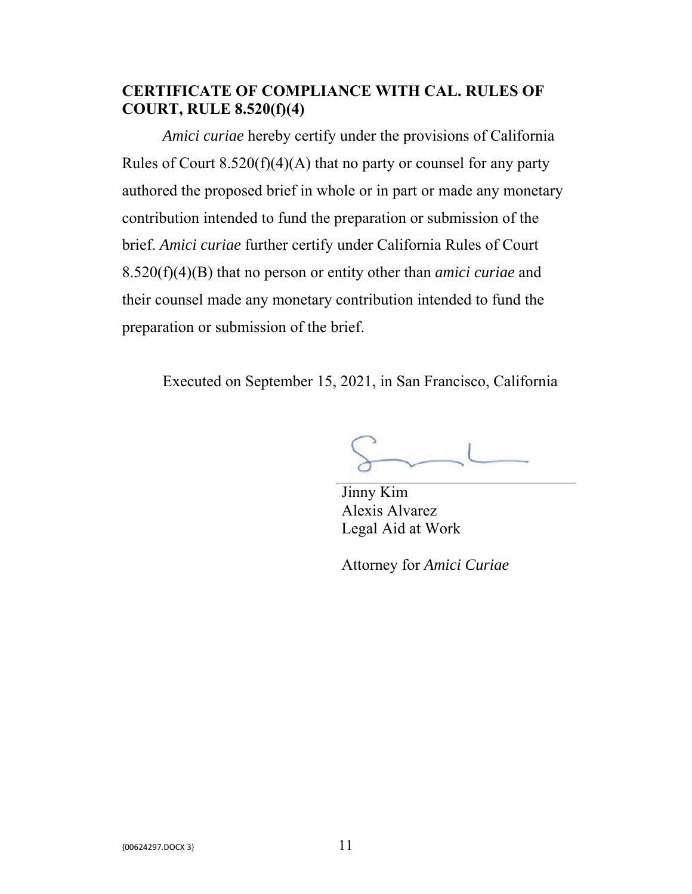## **CERTIFICATE OF COMPLIANCE WITH CAL. RULES OF COURT, RULE 8.520(f)(4)**

*Amici curiae* hereby certify under the provisions of California Rules of Court  $8.520(f)(4)(A)$  that no party or counsel for any party authored the proposed brief in whole or in part or made any monetary contribution intended to fund the preparation or submission of the brief. *Amici curiae* further certify under California Rules of Court 8.520(f)(4)(B) that no person or entity other than *amici curiae* and their counsel made any monetary contribution intended to fund the preparation or submission of the brief.

Executed on September 15, 2021, in San Francisco, California

Jinny Kim Alexis Alvarez Legal Aid at Work

Attorney for *Amici Curiae*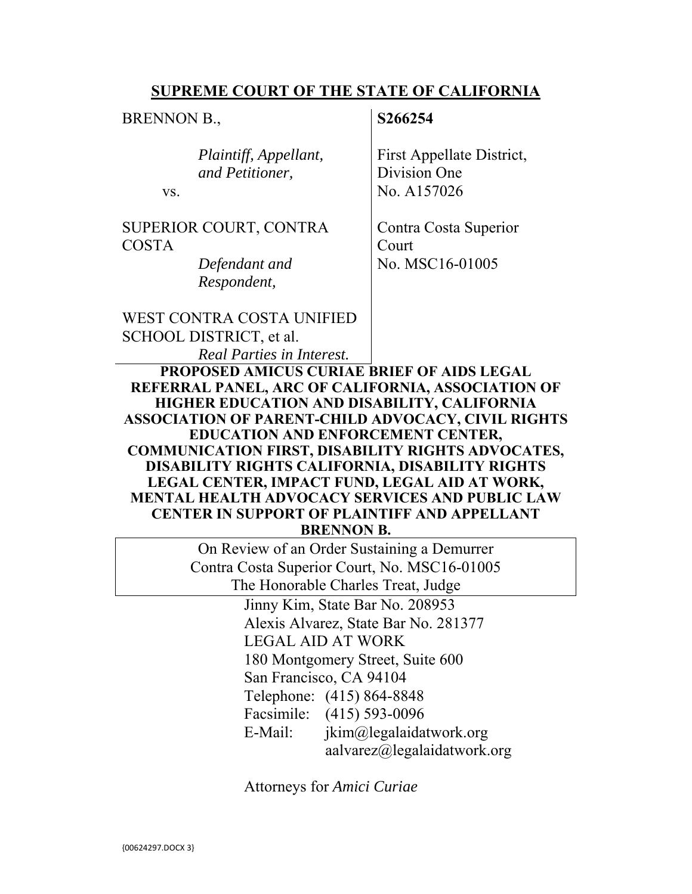### **SUPREME COURT OF THE STATE OF CALIFORNIA**

BRENNON B.,

### **S266254**

| Plaintiff, Appellant,  | <b>First Appellate District</b> |
|------------------------|---------------------------------|
| and Petitioner,        | Division One                    |
| VS.                    | <sup>1</sup> No. A157026        |
| SUPERIOR COURT, CONTRA | Contra Costa Superior           |

SUPERIOR COSTA

> *Defendant and Respondent,*

First Appellate District,

Contra Costa Superior Court No. MSC16-01005

WEST CONTRA COSTA UNIFIED SCHOOL DISTRICT, et al.

*Real Parties in Interest.*

**PROPOSED AMICUS CURIAE BRIEF OF AIDS LEGAL REFERRAL PANEL, ARC OF CALIFORNIA, ASSOCIATION OF HIGHER EDUCATION AND DISABILITY, CALIFORNIA ASSOCIATION OF PARENT-CHILD ADVOCACY, CIVIL RIGHTS EDUCATION AND ENFORCEMENT CENTER, COMMUNICATION FIRST, DISABILITY RIGHTS ADVOCATES, DISABILITY RIGHTS CALIFORNIA, DISABILITY RIGHTS LEGAL CENTER, IMPACT FUND, LEGAL AID AT WORK, MENTAL HEALTH ADVOCACY SERVICES AND PUBLIC LAW CENTER IN SUPPORT OF PLAINTIFF AND APPELLANT BRENNON B.**

> On Review of an Order Sustaining a Demurrer Contra Costa Superior Court, No. MSC16-01005 The Honorable Charles Treat, Judge

> > Jinny Kim, State Bar No. 208953 Alexis Alvarez, State Bar No. 281377 LEGAL AID AT WORK 180 Montgomery Street, Suite 600 San Francisco, CA 94104 Telephone: (415) 864-8848 Facsimile: (415) 593-0096 E-Mail: jkim@legalaidatwork.org aalvarez@legalaidatwork.org

Attorneys for *Amici Curiae*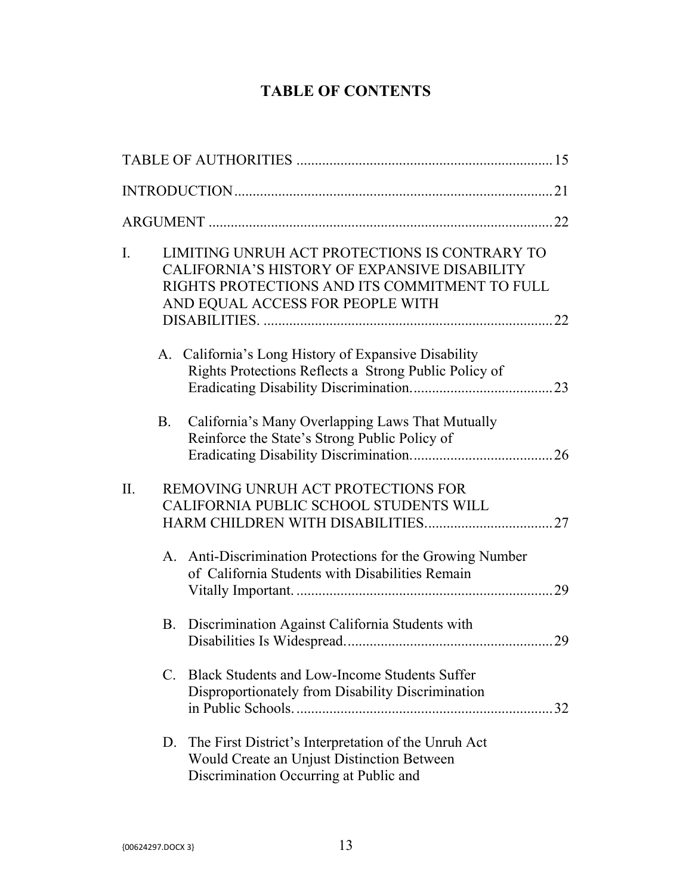## **TABLE OF CONTENTS**

| I.  |    | LIMITING UNRUH ACT PROTECTIONS IS CONTRARY TO<br><b>CALIFORNIA'S HISTORY OF EXPANSIVE DISABILITY</b><br>RIGHTS PROTECTIONS AND ITS COMMITMENT TO FULL<br>AND EQUAL ACCESS FOR PEOPLE WITH |  |
|-----|----|-------------------------------------------------------------------------------------------------------------------------------------------------------------------------------------------|--|
|     |    | A. California's Long History of Expansive Disability<br>Rights Protections Reflects a Strong Public Policy of                                                                             |  |
|     | B. | California's Many Overlapping Laws That Mutually<br>Reinforce the State's Strong Public Policy of                                                                                         |  |
| II. |    | REMOVING UNRUH ACT PROTECTIONS FOR<br>CALIFORNIA PUBLIC SCHOOL STUDENTS WILL                                                                                                              |  |
|     |    | A. Anti-Discrimination Protections for the Growing Number<br>of California Students with Disabilities Remain                                                                              |  |
|     |    | B. Discrimination Against California Students with                                                                                                                                        |  |
|     |    | C. Black Students and Low-Income Students Suffer<br>Disproportionately from Disability Discrimination                                                                                     |  |
|     | D. | The First District's Interpretation of the Unruh Act<br>Would Create an Unjust Distinction Between<br>Discrimination Occurring at Public and                                              |  |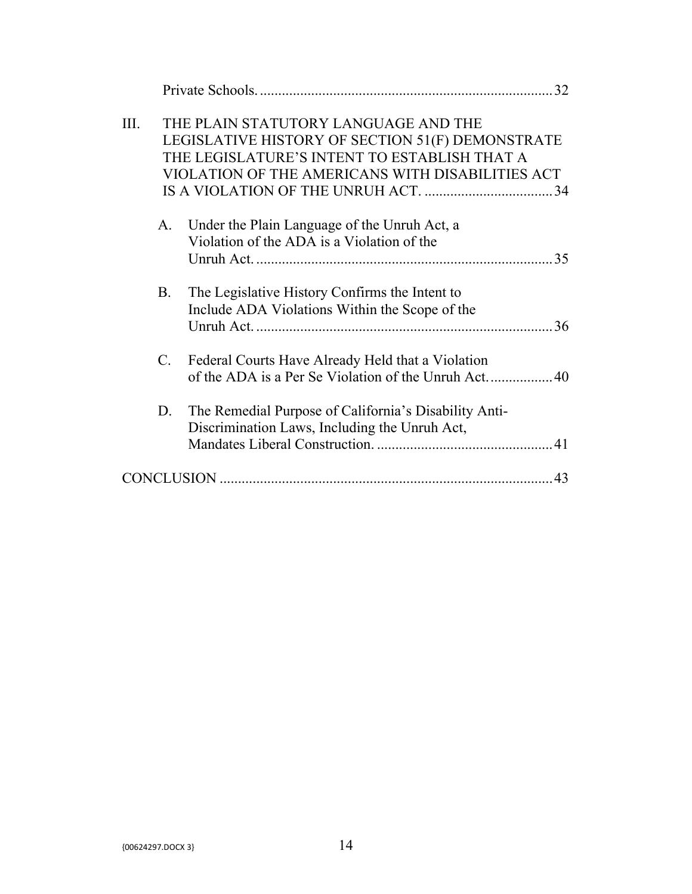|      |             | 32                                                                                                                                                                                           |  |
|------|-------------|----------------------------------------------------------------------------------------------------------------------------------------------------------------------------------------------|--|
| III. |             | THE PLAIN STATUTORY LANGUAGE AND THE<br>LEGISLATIVE HISTORY OF SECTION 51(F) DEMONSTRATE<br>THE LEGISLATURE'S INTENT TO ESTABLISH THAT A<br>VIOLATION OF THE AMERICANS WITH DISABILITIES ACT |  |
|      | A.          | Under the Plain Language of the Unruh Act, a<br>Violation of the ADA is a Violation of the                                                                                                   |  |
|      | <b>B.</b>   | The Legislative History Confirms the Intent to<br>Include ADA Violations Within the Scope of the                                                                                             |  |
|      | $C_{\cdot}$ | Federal Courts Have Already Held that a Violation                                                                                                                                            |  |
|      | D.          | The Remedial Purpose of California's Disability Anti-<br>Discrimination Laws, Including the Unruh Act,                                                                                       |  |
|      |             |                                                                                                                                                                                              |  |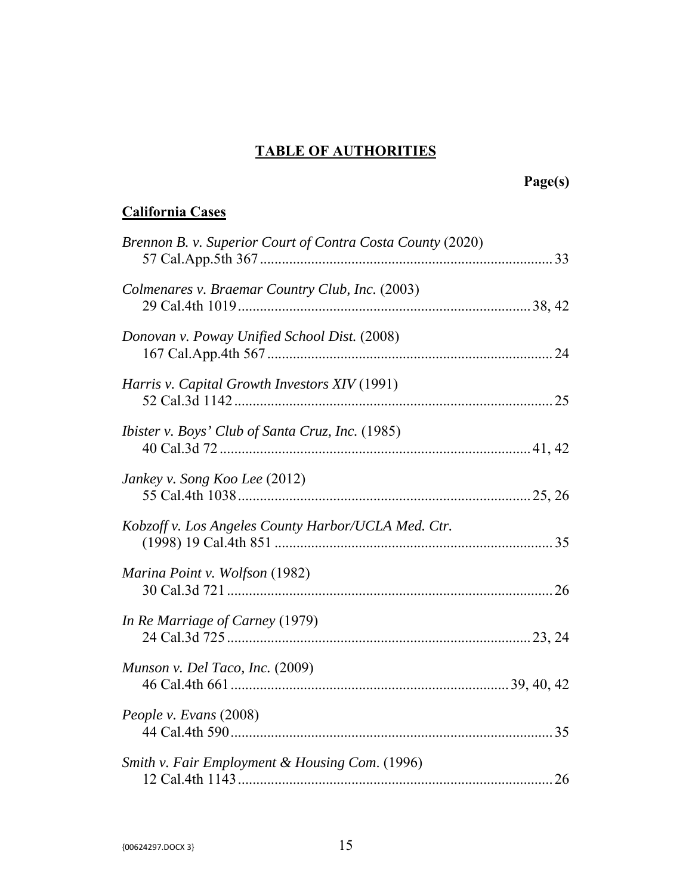# **TABLE OF AUTHORITIES**

# **Page(s)**

# **California Cases**

| Brennon B. v. Superior Court of Contra Costa County (2020) |  |
|------------------------------------------------------------|--|
| Colmenares v. Braemar Country Club, Inc. (2003)            |  |
| Donovan v. Poway Unified School Dist. (2008)               |  |
| Harris v. Capital Growth Investors XIV (1991)              |  |
| <i>Ibister v. Boys' Club of Santa Cruz, Inc.</i> (1985)    |  |
| Jankey v. Song Koo Lee (2012)                              |  |
| Kobzoff v. Los Angeles County Harbor/UCLA Med. Ctr.        |  |
| Marina Point v. Wolfson (1982)                             |  |
| In Re Marriage of Carney (1979)                            |  |
| Munson v. Del Taco, Inc. (2009)                            |  |
| People v. Evans (2008)                                     |  |
| Smith v. Fair Employment & Housing Com. (1996)             |  |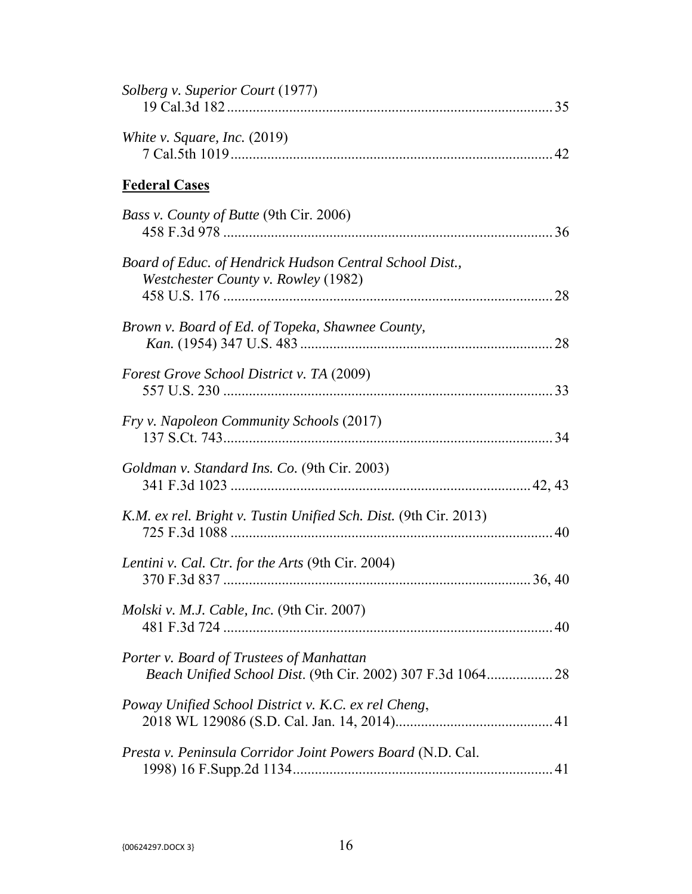| Solberg v. Superior Court (1977)                                                               |
|------------------------------------------------------------------------------------------------|
| White v. Square, Inc. $(2019)$                                                                 |
| <b>Federal Cases</b>                                                                           |
| Bass v. County of Butte (9th Cir. 2006)                                                        |
| Board of Educ. of Hendrick Hudson Central School Dist.,<br>Westchester County v. Rowley (1982) |
| Brown v. Board of Ed. of Topeka, Shawnee County,                                               |
| <b>Forest Grove School District v. TA (2009)</b>                                               |
| Fry v. Napoleon Community Schools (2017)                                                       |
| Goldman v. Standard Ins. Co. (9th Cir. 2003)                                                   |
| K.M. ex rel. Bright v. Tustin Unified Sch. Dist. (9th Cir. 2013)                               |
| Lentini v. Cal. Ctr. for the Arts (9th Cir. 2004)                                              |
| <i>Molski v. M.J. Cable, Inc.</i> (9th Cir. 2007)                                              |
| Porter v. Board of Trustees of Manhattan                                                       |
| Poway Unified School District v. K.C. ex rel Cheng,                                            |
| Presta v. Peninsula Corridor Joint Powers Board (N.D. Cal.                                     |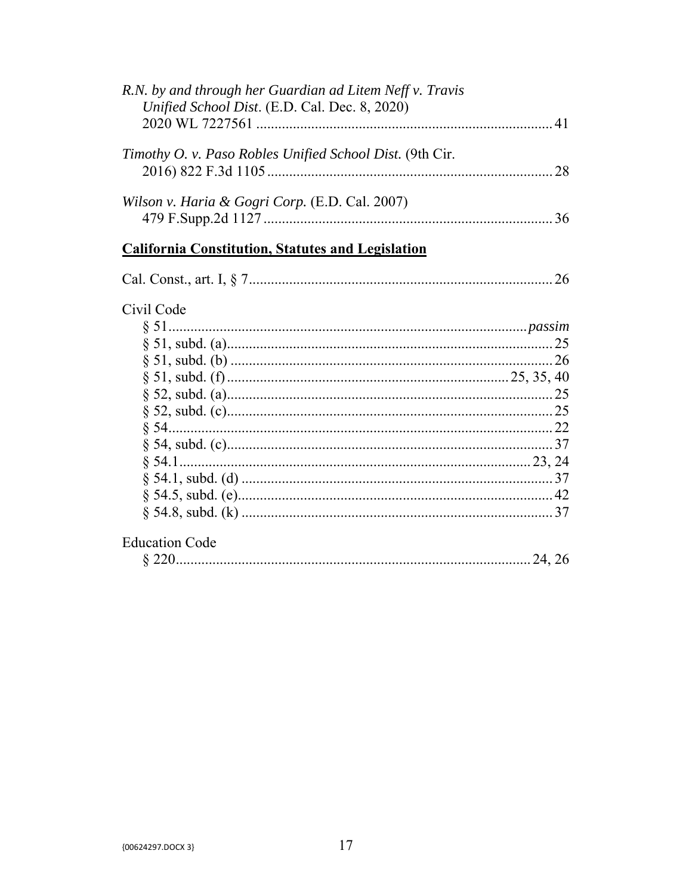| R.N. by and through her Guardian ad Litem Neff v. Travis<br>Unified School Dist. (E.D. Cal. Dec. 8, 2020) |  |
|-----------------------------------------------------------------------------------------------------------|--|
|                                                                                                           |  |
| Timothy O. v. Paso Robles Unified School Dist. (9th Cir.                                                  |  |
| Wilson v. Haria & Gogri Corp. (E.D. Cal. 2007)                                                            |  |

# **California Constitution, Statutes and Legislation**

| Cal. Const., art. I, $\delta$ |  |  |
|-------------------------------|--|--|
|-------------------------------|--|--|

## Civil Code

|                       | 25 |
|-----------------------|----|
|                       |    |
|                       | 40 |
|                       |    |
|                       |    |
|                       |    |
|                       |    |
|                       |    |
|                       |    |
|                       |    |
|                       |    |
| <b>Education Code</b> |    |

|--|--|--|--|--|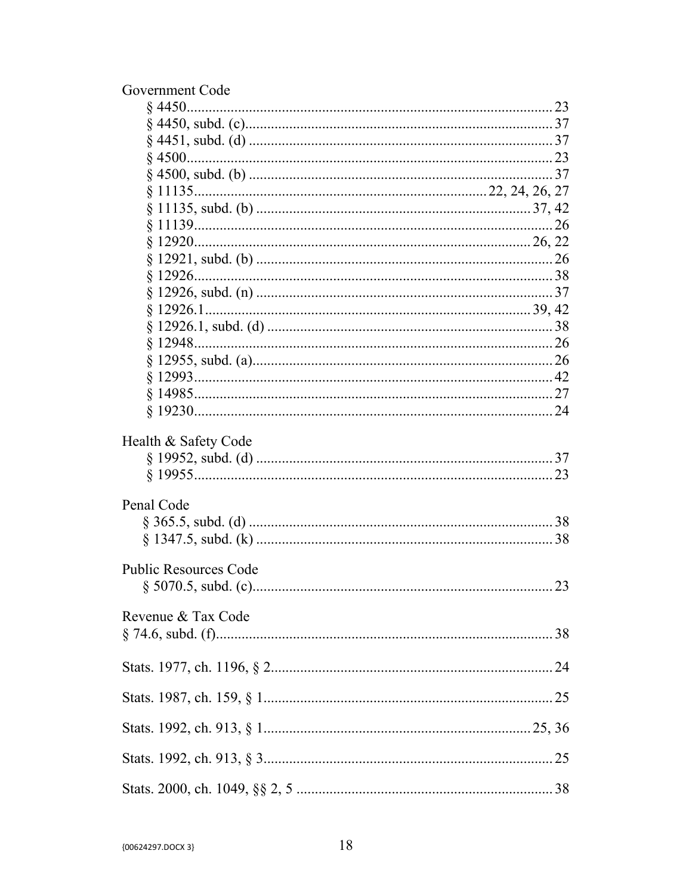| Government Code              |
|------------------------------|
|                              |
|                              |
|                              |
|                              |
|                              |
|                              |
|                              |
|                              |
|                              |
|                              |
|                              |
|                              |
|                              |
|                              |
|                              |
|                              |
|                              |
|                              |
|                              |
| Health & Safety Code         |
|                              |
|                              |
|                              |
| Penal Code                   |
|                              |
|                              |
| <b>Public Resources Code</b> |
|                              |
| Revenue & Tax Code           |
|                              |
|                              |
|                              |
|                              |
|                              |
|                              |
|                              |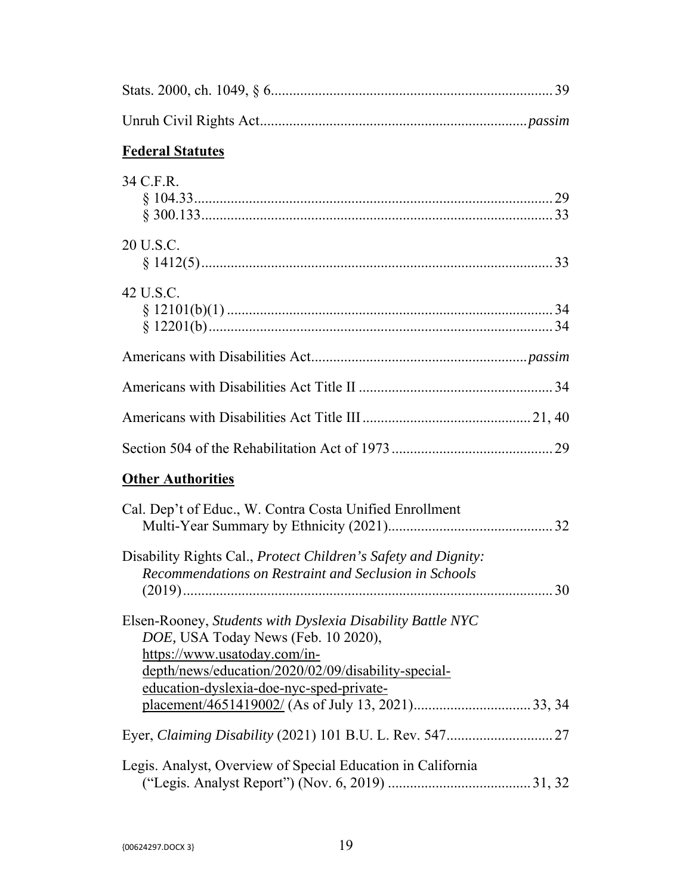| <b>Federal Statutes</b>                                                                                                                                                                                                              |
|--------------------------------------------------------------------------------------------------------------------------------------------------------------------------------------------------------------------------------------|
| 34 C.F.R.                                                                                                                                                                                                                            |
| 20 U.S.C.                                                                                                                                                                                                                            |
| 42 U.S.C.                                                                                                                                                                                                                            |
|                                                                                                                                                                                                                                      |
|                                                                                                                                                                                                                                      |
|                                                                                                                                                                                                                                      |
|                                                                                                                                                                                                                                      |
| <b>Other Authorities</b>                                                                                                                                                                                                             |
| Cal. Dep't of Educ., W. Contra Costa Unified Enrollment                                                                                                                                                                              |
| Disability Rights Cal., Protect Children's Safety and Dignity:<br>Recommendations on Restraint and Seclusion in Schools                                                                                                              |
| Elsen-Rooney, Students with Dyslexia Disability Battle NYC<br>DOE, USA Today News (Feb. 10 2020),<br>https://www.usatoday.com/in-<br>depth/news/education/2020/02/09/disability-special-<br>education-dyslexia-doe-nyc-sped-private- |
|                                                                                                                                                                                                                                      |
| Legis. Analyst, Overview of Special Education in California                                                                                                                                                                          |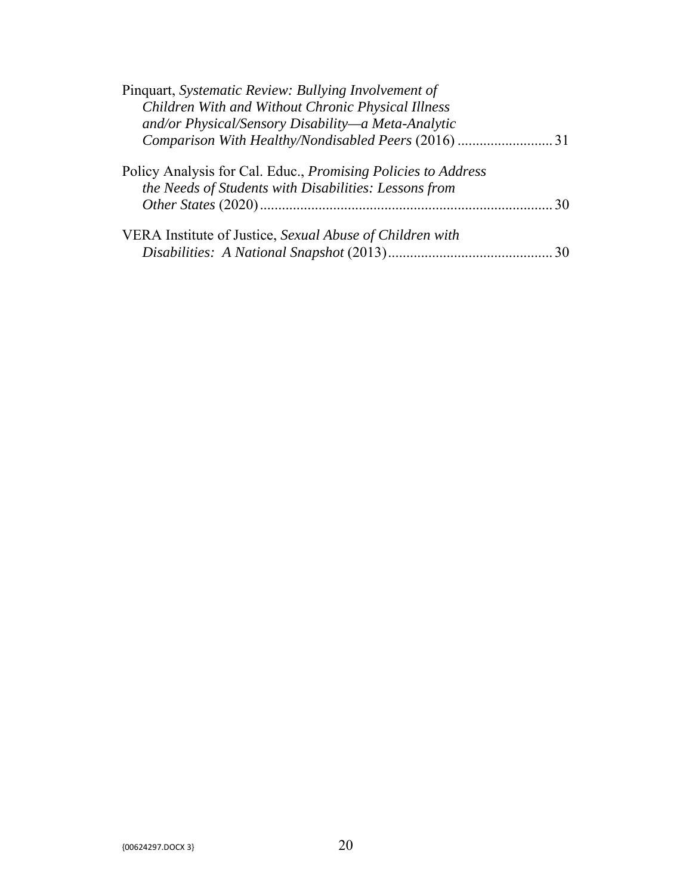| Pinquart, Systematic Review: Bullying Involvement of                 |    |
|----------------------------------------------------------------------|----|
| Children With and Without Chronic Physical Illness                   |    |
| and/or Physical/Sensory Disability-a Meta-Analytic                   |    |
|                                                                      |    |
| Policy Analysis for Cal. Educ., <i>Promising Policies to Address</i> |    |
| the Needs of Students with Disabilities: Lessons from                |    |
|                                                                      | 30 |
| VERA Institute of Justice, Sexual Abuse of Children with             |    |
|                                                                      |    |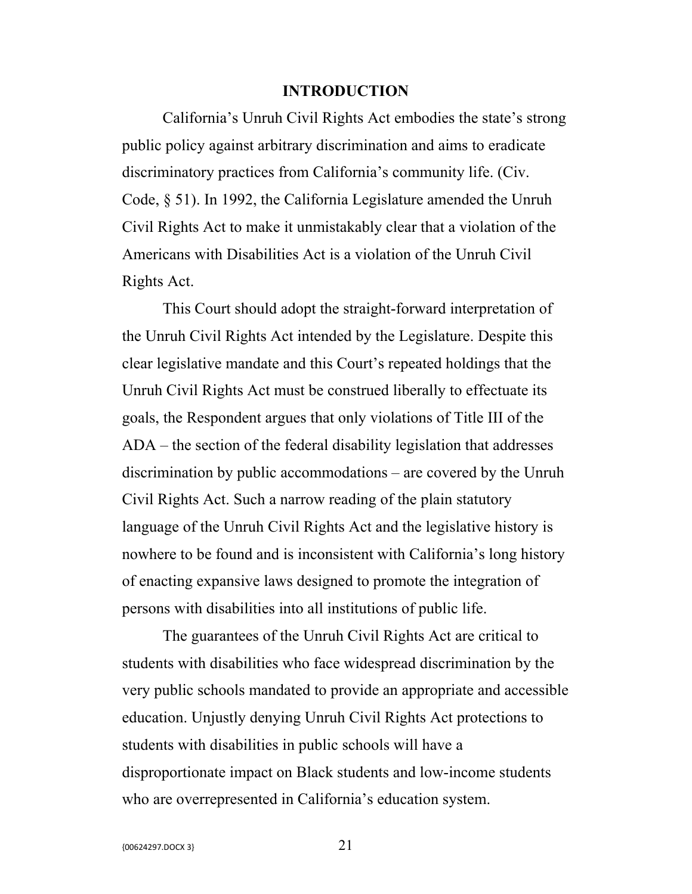### **INTRODUCTION**

California's Unruh Civil Rights Act embodies the state's strong public policy against arbitrary discrimination and aims to eradicate discriminatory practices from California's community life. (Civ. Code, § 51). In 1992, the California Legislature amended the Unruh Civil Rights Act to make it unmistakably clear that a violation of the Americans with Disabilities Act is a violation of the Unruh Civil Rights Act.

This Court should adopt the straight-forward interpretation of the Unruh Civil Rights Act intended by the Legislature. Despite this clear legislative mandate and this Court's repeated holdings that the Unruh Civil Rights Act must be construed liberally to effectuate its goals, the Respondent argues that only violations of Title III of the ADA – the section of the federal disability legislation that addresses discrimination by public accommodations – are covered by the Unruh Civil Rights Act. Such a narrow reading of the plain statutory language of the Unruh Civil Rights Act and the legislative history is nowhere to be found and is inconsistent with California's long history of enacting expansive laws designed to promote the integration of persons with disabilities into all institutions of public life.

 The guarantees of the Unruh Civil Rights Act are critical to students with disabilities who face widespread discrimination by the very public schools mandated to provide an appropriate and accessible education. Unjustly denying Unruh Civil Rights Act protections to students with disabilities in public schools will have a disproportionate impact on Black students and low-income students who are overrepresented in California's education system.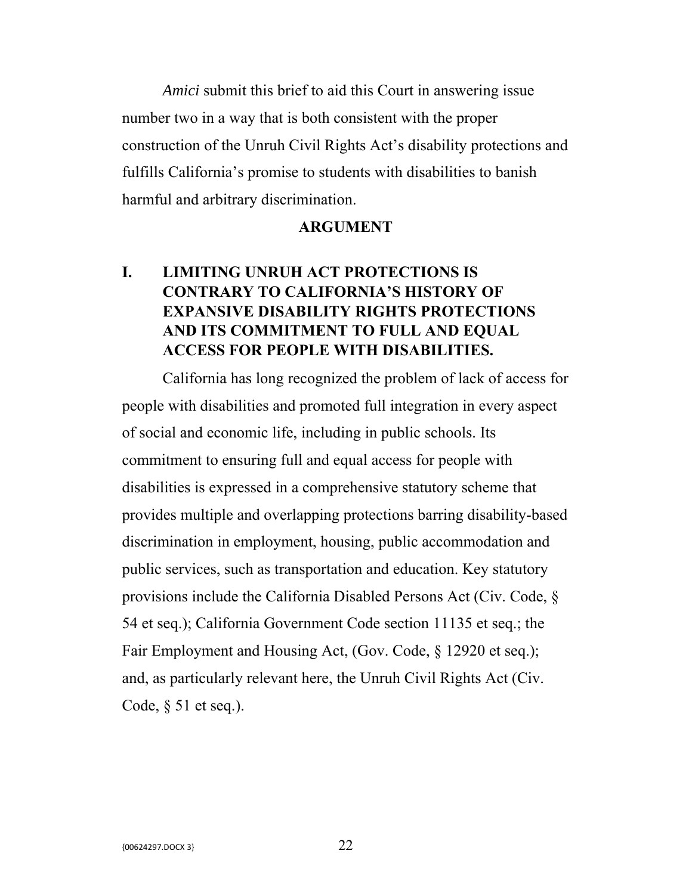*Amici* submit this brief to aid this Court in answering issue number two in a way that is both consistent with the proper construction of the Unruh Civil Rights Act's disability protections and fulfills California's promise to students with disabilities to banish harmful and arbitrary discrimination.

### **ARGUMENT**

## **I. LIMITING UNRUH ACT PROTECTIONS IS CONTRARY TO CALIFORNIA'S HISTORY OF EXPANSIVE DISABILITY RIGHTS PROTECTIONS AND ITS COMMITMENT TO FULL AND EQUAL ACCESS FOR PEOPLE WITH DISABILITIES.**

California has long recognized the problem of lack of access for people with disabilities and promoted full integration in every aspect of social and economic life, including in public schools. Its commitment to ensuring full and equal access for people with disabilities is expressed in a comprehensive statutory scheme that provides multiple and overlapping protections barring disability-based discrimination in employment, housing, public accommodation and public services, such as transportation and education. Key statutory provisions include the California Disabled Persons Act (Civ. Code, § 54 et seq.); California Government Code section 11135 et seq.; the Fair Employment and Housing Act, (Gov. Code, § 12920 et seq.); and, as particularly relevant here, the Unruh Civil Rights Act (Civ. Code, § 51 et seq.).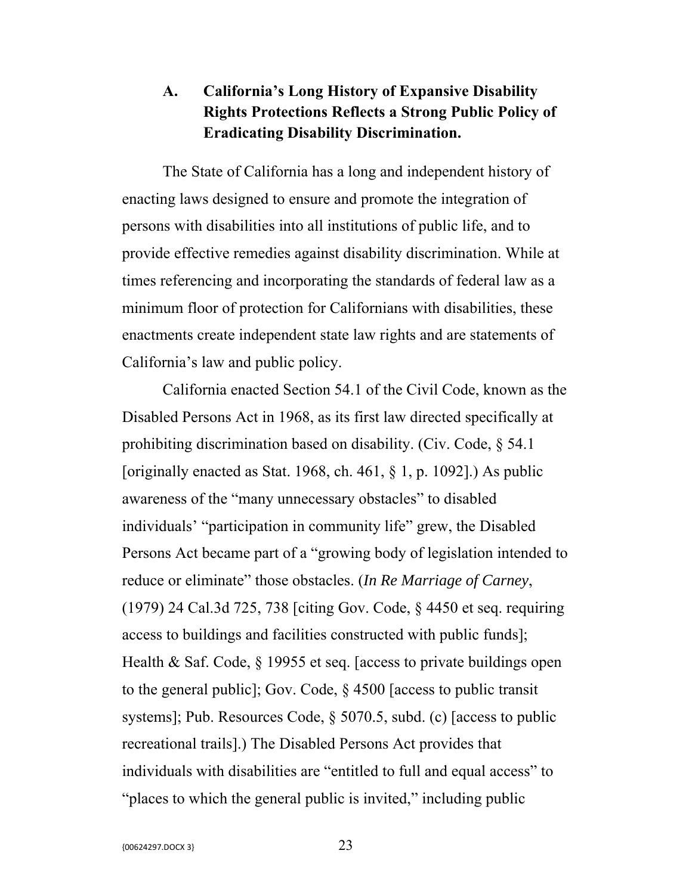## **A. California's Long History of Expansive Disability Rights Protections Reflects a Strong Public Policy of Eradicating Disability Discrimination.**

The State of California has a long and independent history of enacting laws designed to ensure and promote the integration of persons with disabilities into all institutions of public life, and to provide effective remedies against disability discrimination. While at times referencing and incorporating the standards of federal law as a minimum floor of protection for Californians with disabilities, these enactments create independent state law rights and are statements of California's law and public policy.

California enacted Section 54.1 of the Civil Code, known as the Disabled Persons Act in 1968, as its first law directed specifically at prohibiting discrimination based on disability. (Civ. Code, § 54.1 [originally enacted as Stat. 1968, ch. 461,  $\S$  1, p. 1092].) As public awareness of the "many unnecessary obstacles" to disabled individuals' "participation in community life" grew, the Disabled Persons Act became part of a "growing body of legislation intended to reduce or eliminate" those obstacles. (*In Re Marriage of Carney*, (1979) 24 Cal.3d 725, 738 [citing Gov. Code, § 4450 et seq. requiring access to buildings and facilities constructed with public funds]; Health & Saf. Code, § 19955 et seq. [access to private buildings open to the general public]; Gov. Code, § 4500 [access to public transit systems]; Pub. Resources Code, § 5070.5, subd. (c) [access to public recreational trails].) The Disabled Persons Act provides that individuals with disabilities are "entitled to full and equal access" to "places to which the general public is invited," including public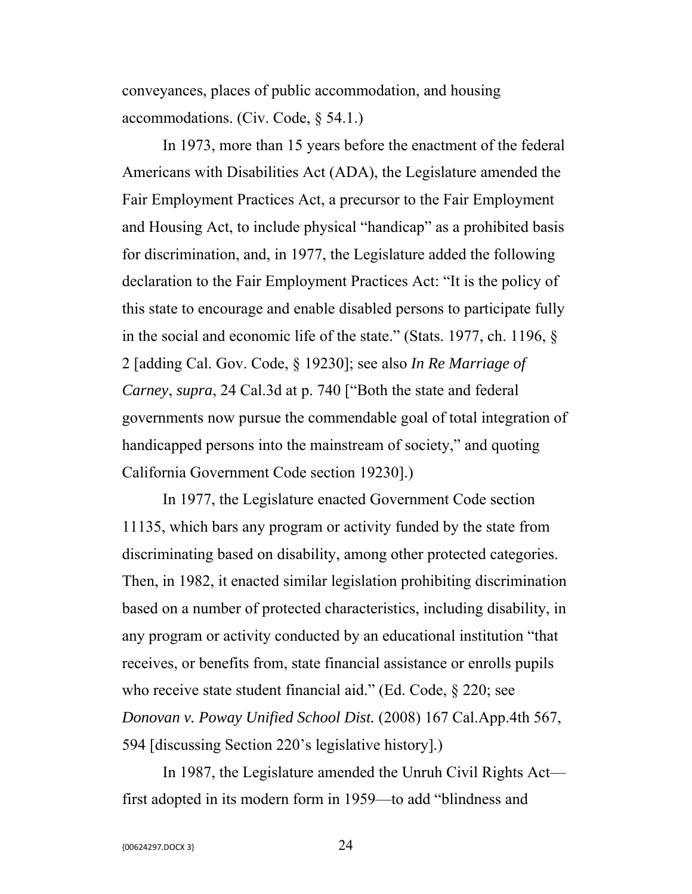conveyances, places of public accommodation, and housing accommodations. (Civ. Code, § 54.1.)

In 1973, more than 15 years before the enactment of the federal Americans with Disabilities Act (ADA), the Legislature amended the Fair Employment Practices Act, a precursor to the Fair Employment and Housing Act, to include physical "handicap" as a prohibited basis for discrimination, and, in 1977, the Legislature added the following declaration to the Fair Employment Practices Act: "It is the policy of this state to encourage and enable disabled persons to participate fully in the social and economic life of the state." (Stats. 1977, ch. 1196, § 2 [adding Cal. Gov. Code, § 19230]; see also *In Re Marriage of Carney*, *supra*, 24 Cal.3d at p. 740 ["Both the state and federal governments now pursue the commendable goal of total integration of handicapped persons into the mainstream of society," and quoting California Government Code section 19230].)

In 1977, the Legislature enacted Government Code section 11135, which bars any program or activity funded by the state from discriminating based on disability, among other protected categories. Then, in 1982, it enacted similar legislation prohibiting discrimination based on a number of protected characteristics, including disability, in any program or activity conducted by an educational institution "that receives, or benefits from, state financial assistance or enrolls pupils who receive state student financial aid." (Ed. Code, § 220; see *Donovan v. Poway Unified School Dist.* (2008) 167 Cal.App.4th 567, 594 [discussing Section 220's legislative history].)

In 1987, the Legislature amended the Unruh Civil Rights Act first adopted in its modern form in 1959—to add "blindness and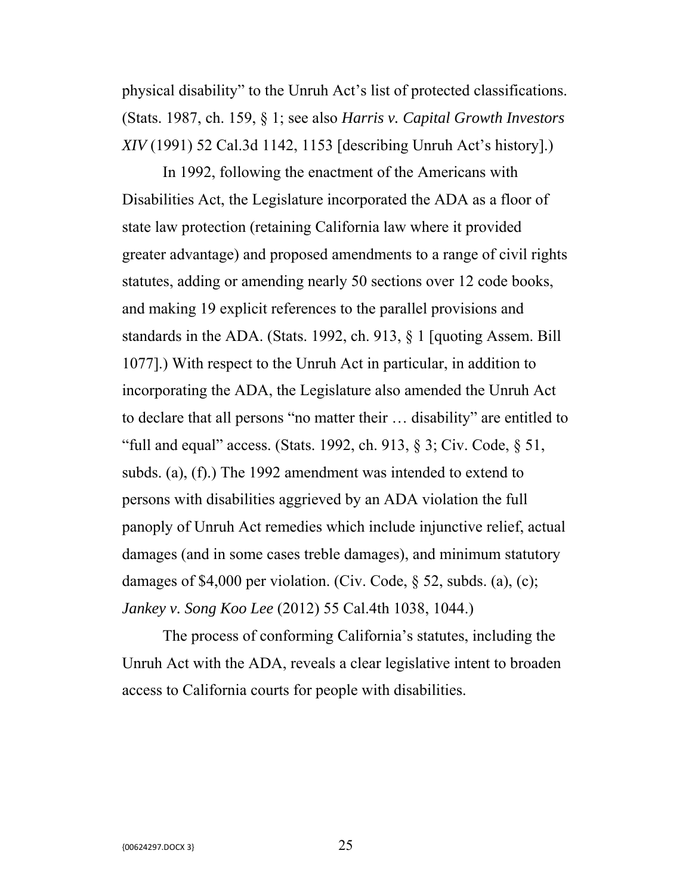physical disability" to the Unruh Act's list of protected classifications. (Stats. 1987, ch. 159, § 1; see also *Harris v. Capital Growth Investors XIV* (1991) 52 Cal.3d 1142, 1153 [describing Unruh Act's history].)

In 1992, following the enactment of the Americans with Disabilities Act, the Legislature incorporated the ADA as a floor of state law protection (retaining California law where it provided greater advantage) and proposed amendments to a range of civil rights statutes, adding or amending nearly 50 sections over 12 code books, and making 19 explicit references to the parallel provisions and standards in the ADA. (Stats. 1992, ch. 913, § 1 [quoting Assem. Bill 1077].) With respect to the Unruh Act in particular, in addition to incorporating the ADA, the Legislature also amended the Unruh Act to declare that all persons "no matter their … disability" are entitled to "full and equal" access. (Stats. 1992, ch. 913,  $\S$  3; Civ. Code,  $\S$  51, subds. (a), (f).) The 1992 amendment was intended to extend to persons with disabilities aggrieved by an ADA violation the full panoply of Unruh Act remedies which include injunctive relief, actual damages (and in some cases treble damages), and minimum statutory damages of \$4,000 per violation. (Civ. Code, § 52, subds. (a), (c); *Jankey v. Song Koo Lee* (2012) 55 Cal.4th 1038, 1044.)

The process of conforming California's statutes, including the Unruh Act with the ADA, reveals a clear legislative intent to broaden access to California courts for people with disabilities.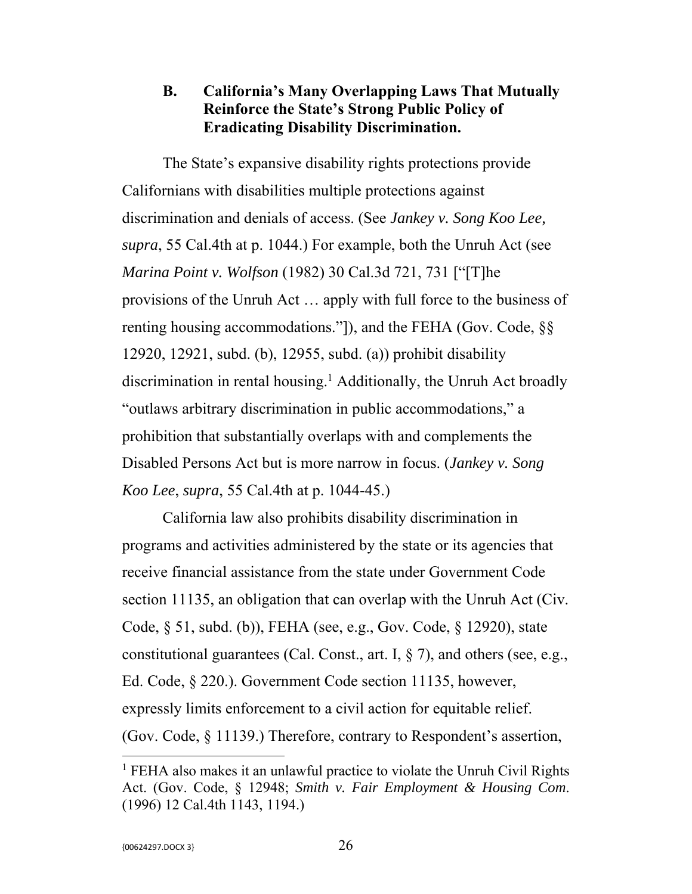## **B. California's Many Overlapping Laws That Mutually Reinforce the State's Strong Public Policy of Eradicating Disability Discrimination.**

The State's expansive disability rights protections provide Californians with disabilities multiple protections against discrimination and denials of access. (See *Jankey v. Song Koo Lee, supra*, 55 Cal.4th at p. 1044.) For example, both the Unruh Act (see *Marina Point v. Wolfson* (1982) 30 Cal.3d 721, 731 ["[T]he provisions of the Unruh Act … apply with full force to the business of renting housing accommodations."]), and the FEHA (Gov. Code, §§ 12920, 12921, subd. (b), 12955, subd. (a)) prohibit disability discrimination in rental housing.<sup>1</sup> Additionally, the Unruh Act broadly "outlaws arbitrary discrimination in public accommodations," a prohibition that substantially overlaps with and complements the Disabled Persons Act but is more narrow in focus. (*Jankey v. Song Koo Lee*, *supra*, 55 Cal.4th at p. 1044-45.)

California law also prohibits disability discrimination in programs and activities administered by the state or its agencies that receive financial assistance from the state under Government Code section 11135, an obligation that can overlap with the Unruh Act (Civ. Code, § 51, subd. (b)), FEHA (see, e.g., Gov. Code, § 12920), state constitutional guarantees (Cal. Const., art. I, § 7), and others (see, e.g., Ed. Code, § 220.). Government Code section 11135, however, expressly limits enforcement to a civil action for equitable relief. (Gov. Code, § 11139.) Therefore, contrary to Respondent's assertion,

<sup>&</sup>lt;sup>1</sup> FEHA also makes it an unlawful practice to violate the Unruh Civil Rights Act. (Gov. Code, § 12948; *Smith v. Fair Employment & Housing Com*. (1996) 12 Cal.4th 1143, 1194.)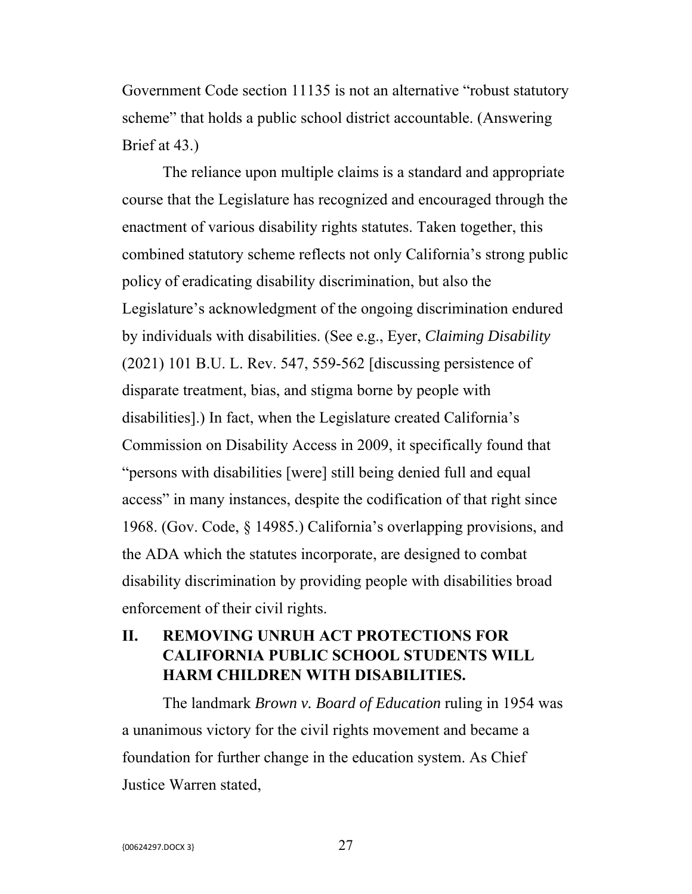Government Code section 11135 is not an alternative "robust statutory scheme" that holds a public school district accountable. (Answering Brief at 43.)

The reliance upon multiple claims is a standard and appropriate course that the Legislature has recognized and encouraged through the enactment of various disability rights statutes. Taken together, this combined statutory scheme reflects not only California's strong public policy of eradicating disability discrimination, but also the Legislature's acknowledgment of the ongoing discrimination endured by individuals with disabilities. (See e.g., Eyer, *Claiming Disability* (2021) 101 B.U. L. Rev. 547, 559-562 [discussing persistence of disparate treatment, bias, and stigma borne by people with disabilities].) In fact, when the Legislature created California's Commission on Disability Access in 2009, it specifically found that "persons with disabilities [were] still being denied full and equal access" in many instances, despite the codification of that right since 1968. (Gov. Code, § 14985.) California's overlapping provisions, and the ADA which the statutes incorporate, are designed to combat disability discrimination by providing people with disabilities broad enforcement of their civil rights.

## **II. REMOVING UNRUH ACT PROTECTIONS FOR CALIFORNIA PUBLIC SCHOOL STUDENTS WILL HARM CHILDREN WITH DISABILITIES.**

The landmark *Brown v. Board of Education* ruling in 1954 was a unanimous victory for the civil rights movement and became a foundation for further change in the education system. As Chief Justice Warren stated,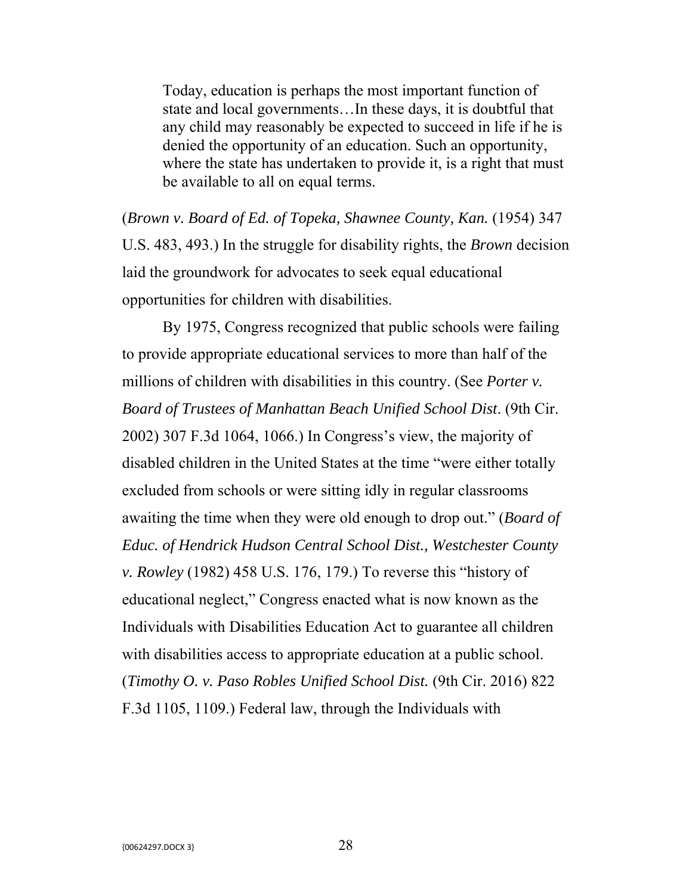Today, education is perhaps the most important function of state and local governments…In these days, it is doubtful that any child may reasonably be expected to succeed in life if he is denied the opportunity of an education. Such an opportunity, where the state has undertaken to provide it, is a right that must be available to all on equal terms.

(*Brown v. Board of Ed. of Topeka, Shawnee County, Kan.* (1954) 347 U.S. 483, 493.) In the struggle for disability rights, the *Brown* decision laid the groundwork for advocates to seek equal educational opportunities for children with disabilities.

By 1975, Congress recognized that public schools were failing to provide appropriate educational services to more than half of the millions of children with disabilities in this country. (See *Porter v. Board of Trustees of Manhattan Beach Unified School Dist*. (9th Cir. 2002) 307 F.3d 1064, 1066.) In Congress's view, the majority of disabled children in the United States at the time "were either totally excluded from schools or were sitting idly in regular classrooms awaiting the time when they were old enough to drop out." (*Board of Educ. of Hendrick Hudson Central School Dist., Westchester County v. Rowley* (1982) 458 U.S. 176, 179.) To reverse this "history of educational neglect," Congress enacted what is now known as the Individuals with Disabilities Education Act to guarantee all children with disabilities access to appropriate education at a public school. (*Timothy O. v. Paso Robles Unified School Dist.* (9th Cir. 2016) 822 F.3d 1105, 1109.) Federal law, through the Individuals with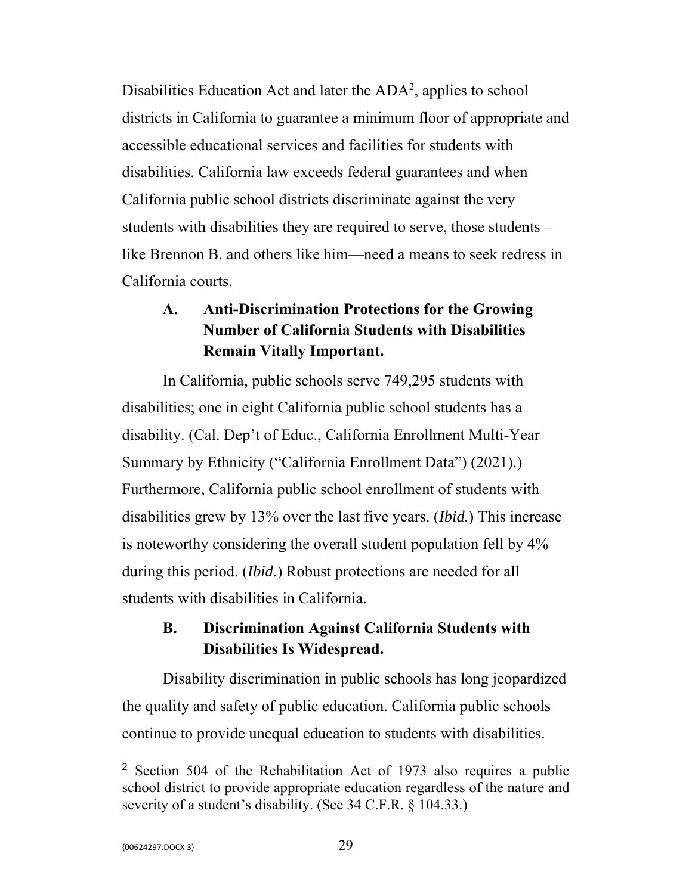Disabilities Education Act and later the ADA<sup>2</sup>, applies to school districts in California to guarantee a minimum floor of appropriate and accessible educational services and facilities for students with disabilities. California law exceeds federal guarantees and when California public school districts discriminate against the very students with disabilities they are required to serve, those students – like Brennon B. and others like him—need a means to seek redress in California courts.

## **A. Anti-Discrimination Protections for the Growing Number of California Students with Disabilities Remain Vitally Important.**

In California, public schools serve 749,295 students with disabilities; one in eight California public school students has a disability. (Cal. Dep't of Educ., California Enrollment Multi-Year Summary by Ethnicity ("California Enrollment Data") (2021).) Furthermore, California public school enrollment of students with disabilities grew by 13% over the last five years. (*Ibid.*) This increase is noteworthy considering the overall student population fell by 4% during this period. (*Ibid.*) Robust protections are needed for all students with disabilities in California.

## **B. Discrimination Against California Students with Disabilities Is Widespread.**

Disability discrimination in public schools has long jeopardized the quality and safety of public education. California public schools continue to provide unequal education to students with disabilities.

<sup>2</sup> Section 504 of the Rehabilitation Act of 1973 also requires a public school district to provide appropriate education regardless of the nature and severity of a student's disability. (See 34 C.F.R. § 104.33.)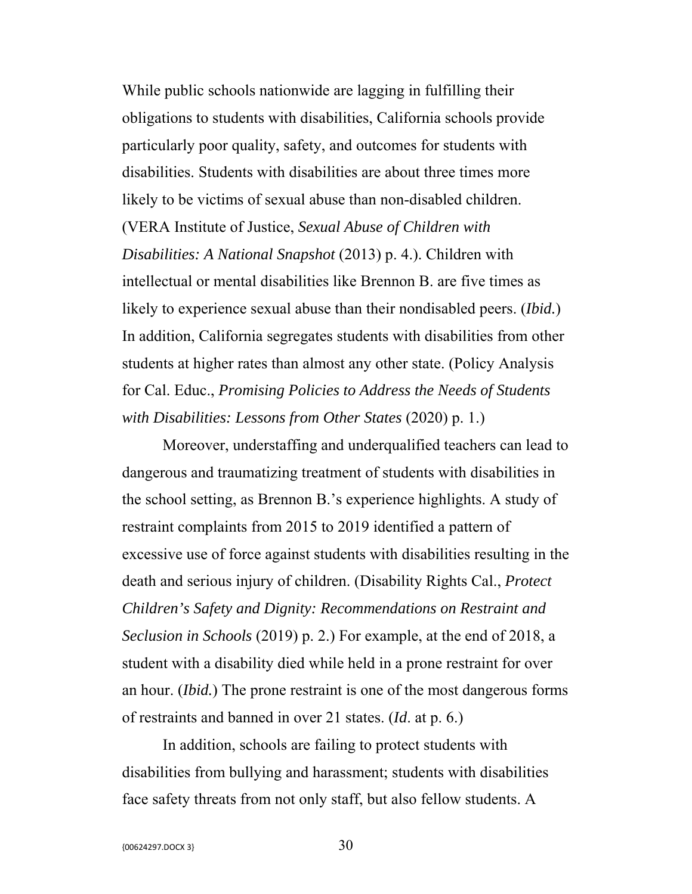While public schools nationwide are lagging in fulfilling their obligations to students with disabilities, California schools provide particularly poor quality, safety, and outcomes for students with disabilities. Students with disabilities are about three times more likely to be victims of sexual abuse than non-disabled children. (VERA Institute of Justice, *Sexual Abuse of Children with Disabilities: A National Snapshot* (2013) p. 4.). Children with intellectual or mental disabilities like Brennon B. are five times as likely to experience sexual abuse than their nondisabled peers. (*Ibid.*) In addition, California segregates students with disabilities from other students at higher rates than almost any other state. (Policy Analysis for Cal. Educ., *Promising Policies to Address the Needs of Students with Disabilities: Lessons from Other States* (2020) p. 1.)

Moreover, understaffing and underqualified teachers can lead to dangerous and traumatizing treatment of students with disabilities in the school setting, as Brennon B.'s experience highlights. A study of restraint complaints from 2015 to 2019 identified a pattern of excessive use of force against students with disabilities resulting in the death and serious injury of children. (Disability Rights Cal., *Protect Children's Safety and Dignity: Recommendations on Restraint and Seclusion in Schools* (2019) p. 2.) For example, at the end of 2018, a student with a disability died while held in a prone restraint for over an hour. (*Ibid.*) The prone restraint is one of the most dangerous forms of restraints and banned in over 21 states. (*Id*. at p. 6.)

In addition, schools are failing to protect students with disabilities from bullying and harassment; students with disabilities face safety threats from not only staff, but also fellow students. A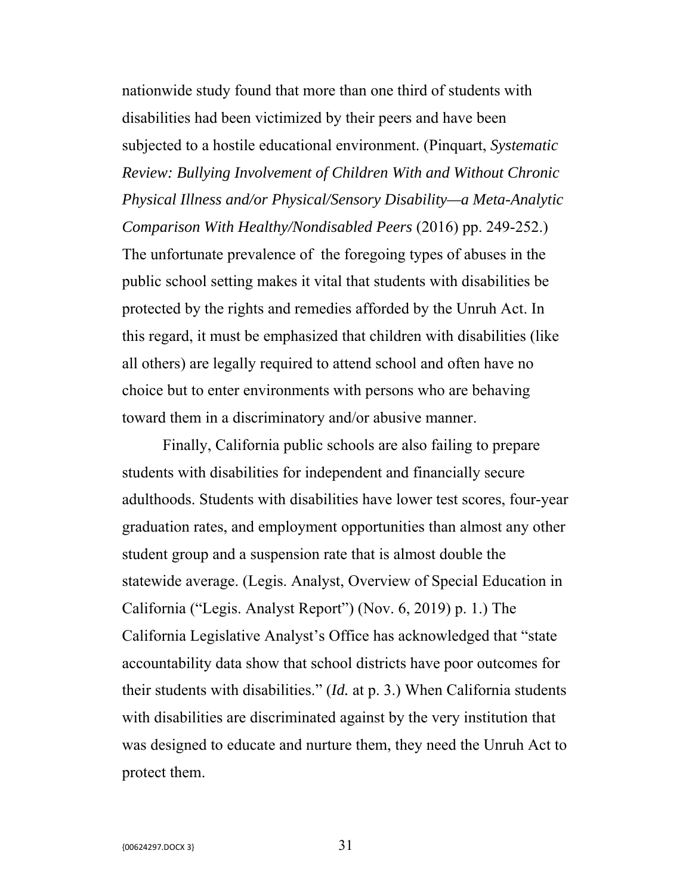nationwide study found that more than one third of students with disabilities had been victimized by their peers and have been subjected to a hostile educational environment. (Pinquart, *Systematic Review: Bullying Involvement of Children With and Without Chronic Physical Illness and/or Physical/Sensory Disability—a Meta-Analytic Comparison With Healthy/Nondisabled Peers* (2016) pp. 249-252.) The unfortunate prevalence of the foregoing types of abuses in the public school setting makes it vital that students with disabilities be protected by the rights and remedies afforded by the Unruh Act. In this regard, it must be emphasized that children with disabilities (like all others) are legally required to attend school and often have no choice but to enter environments with persons who are behaving toward them in a discriminatory and/or abusive manner.

Finally, California public schools are also failing to prepare students with disabilities for independent and financially secure adulthoods. Students with disabilities have lower test scores, four-year graduation rates, and employment opportunities than almost any other student group and a suspension rate that is almost double the statewide average. (Legis. Analyst, Overview of Special Education in California ("Legis. Analyst Report") (Nov. 6, 2019) p. 1.) The California Legislative Analyst's Office has acknowledged that "state accountability data show that school districts have poor outcomes for their students with disabilities." (*Id.* at p. 3.) When California students with disabilities are discriminated against by the very institution that was designed to educate and nurture them, they need the Unruh Act to protect them.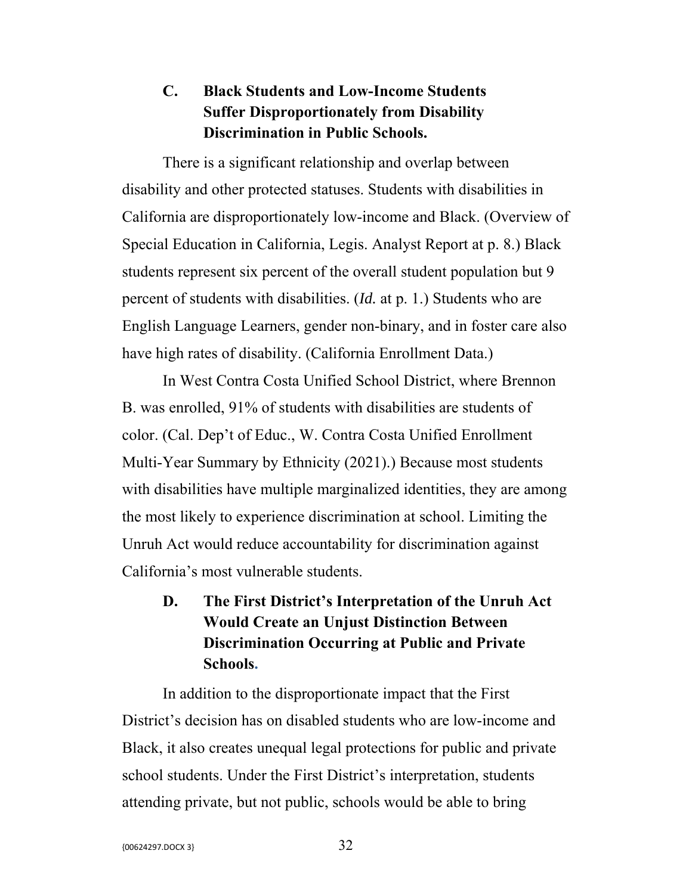## **C. Black Students and Low-Income Students Suffer Disproportionately from Disability Discrimination in Public Schools.**

There is a significant relationship and overlap between disability and other protected statuses. Students with disabilities in California are disproportionately low-income and Black. (Overview of Special Education in California, Legis. Analyst Report at p. 8.) Black students represent six percent of the overall student population but 9 percent of students with disabilities. (*Id.* at p. 1.) Students who are English Language Learners, gender non-binary, and in foster care also have high rates of disability. (California Enrollment Data.)

In West Contra Costa Unified School District, where Brennon B. was enrolled, 91% of students with disabilities are students of color. (Cal. Dep't of Educ., W. Contra Costa Unified Enrollment Multi-Year Summary by Ethnicity (2021).) Because most students with disabilities have multiple marginalized identities, they are among the most likely to experience discrimination at school. Limiting the Unruh Act would reduce accountability for discrimination against California's most vulnerable students.

# **D. The First District's Interpretation of the Unruh Act Would Create an Unjust Distinction Between Discrimination Occurring at Public and Private Schools.**

In addition to the disproportionate impact that the First District's decision has on disabled students who are low-income and Black, it also creates unequal legal protections for public and private school students. Under the First District's interpretation, students attending private, but not public, schools would be able to bring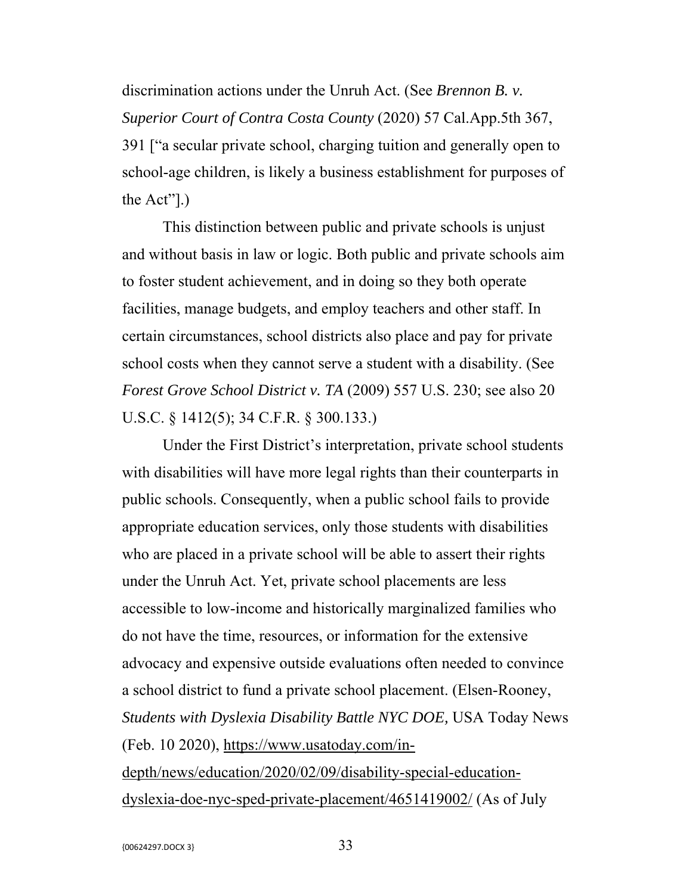discrimination actions under the Unruh Act. (See *Brennon B. v. Superior Court of Contra Costa County* (2020) 57 Cal.App.5th 367, 391 ["a secular private school, charging tuition and generally open to school-age children, is likely a business establishment for purposes of the Act"].)

This distinction between public and private schools is unjust and without basis in law or logic. Both public and private schools aim to foster student achievement, and in doing so they both operate facilities, manage budgets, and employ teachers and other staff. In certain circumstances, school districts also place and pay for private school costs when they cannot serve a student with a disability. (See *Forest Grove School District v. TA* (2009) 557 U.S. 230; see also 20 U.S.C. § 1412(5); 34 C.F.R. § 300.133.)

Under the First District's interpretation, private school students with disabilities will have more legal rights than their counterparts in public schools. Consequently, when a public school fails to provide appropriate education services, only those students with disabilities who are placed in a private school will be able to assert their rights under the Unruh Act. Yet, private school placements are less accessible to low-income and historically marginalized families who do not have the time, resources, or information for the extensive advocacy and expensive outside evaluations often needed to convince a school district to fund a private school placement. (Elsen-Rooney, *Students with Dyslexia Disability Battle NYC DOE,* USA Today News (Feb. 10 2020), https://www.usatoday.com/indepth/news/education/2020/02/09/disability-special-educationdyslexia-doe-nyc-sped-private-placement/4651419002/ (As of July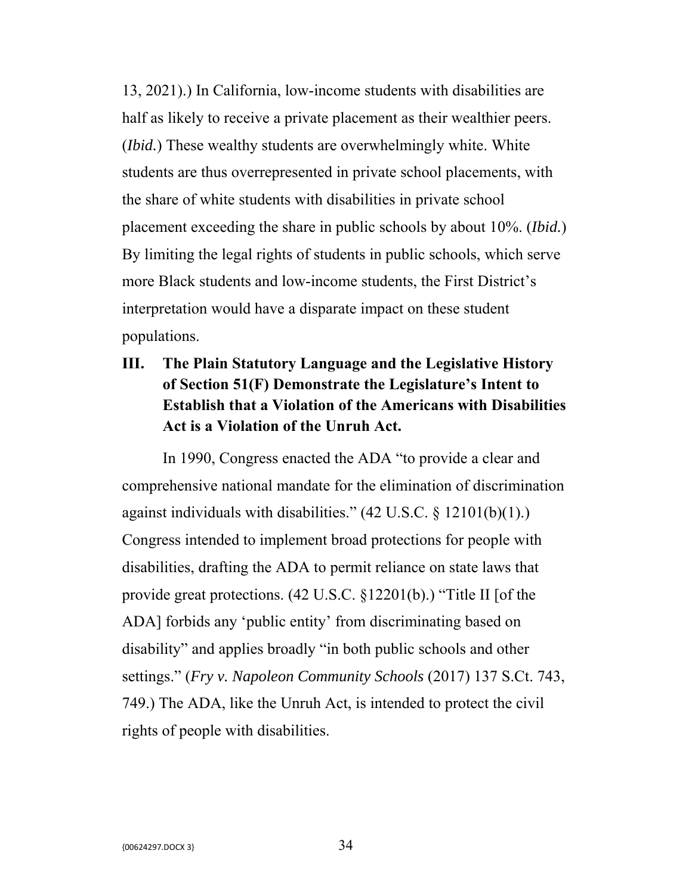13, 2021).) In California, low-income students with disabilities are half as likely to receive a private placement as their wealthier peers. (*Ibid.*) These wealthy students are overwhelmingly white. White students are thus overrepresented in private school placements, with the share of white students with disabilities in private school placement exceeding the share in public schools by about 10%. (*Ibid.*) By limiting the legal rights of students in public schools, which serve more Black students and low-income students, the First District's interpretation would have a disparate impact on these student populations.

## **III. The Plain Statutory Language and the Legislative History of Section 51(F) Demonstrate the Legislature's Intent to Establish that a Violation of the Americans with Disabilities Act is a Violation of the Unruh Act.**

In 1990, Congress enacted the ADA "to provide a clear and comprehensive national mandate for the elimination of discrimination against individuals with disabilities." (42 U.S.C. § 12101(b)(1).) Congress intended to implement broad protections for people with disabilities, drafting the ADA to permit reliance on state laws that provide great protections. (42 U.S.C. §12201(b).) "Title II [of the ADA] forbids any 'public entity' from discriminating based on disability" and applies broadly "in both public schools and other settings." (*Fry v. Napoleon Community Schools* (2017) 137 S.Ct. 743, 749.) The ADA, like the Unruh Act, is intended to protect the civil rights of people with disabilities.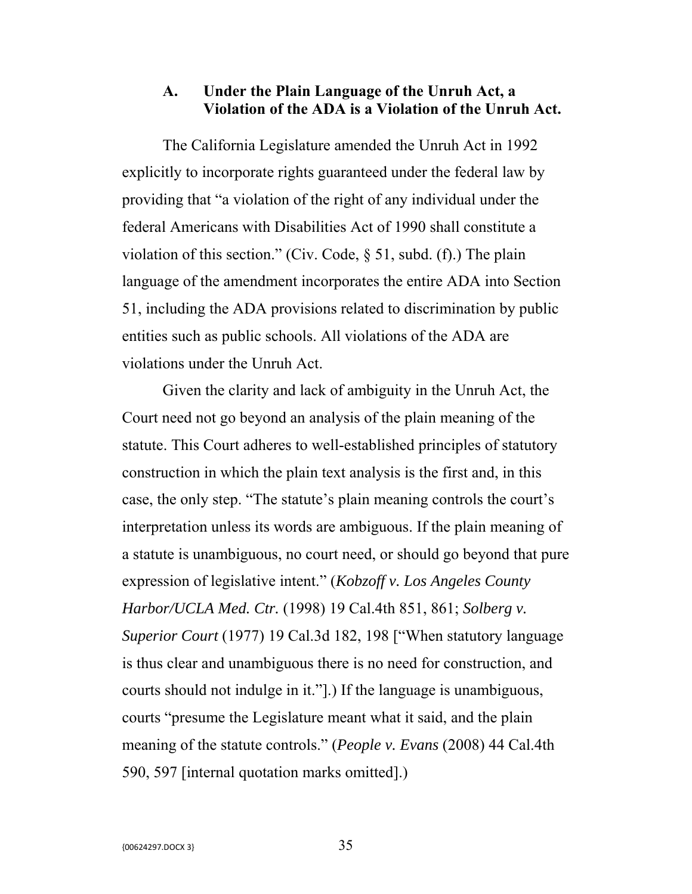### **A. Under the Plain Language of the Unruh Act, a Violation of the ADA is a Violation of the Unruh Act.**

The California Legislature amended the Unruh Act in 1992 explicitly to incorporate rights guaranteed under the federal law by providing that "a violation of the right of any individual under the federal Americans with Disabilities Act of 1990 shall constitute a violation of this section." (Civ. Code,  $\S$  51, subd. (f).) The plain language of the amendment incorporates the entire ADA into Section 51, including the ADA provisions related to discrimination by public entities such as public schools. All violations of the ADA are violations under the Unruh Act.

Given the clarity and lack of ambiguity in the Unruh Act, the Court need not go beyond an analysis of the plain meaning of the statute. This Court adheres to well-established principles of statutory construction in which the plain text analysis is the first and, in this case, the only step. "The statute's plain meaning controls the court's interpretation unless its words are ambiguous. If the plain meaning of a statute is unambiguous, no court need, or should go beyond that pure expression of legislative intent." (*Kobzoff v. Los Angeles County Harbor/UCLA Med. Ctr.* (1998) 19 Cal.4th 851, 861; *Solberg v. Superior Court* (1977) 19 Cal.3d 182, 198 ["When statutory language is thus clear and unambiguous there is no need for construction, and courts should not indulge in it."].) If the language is unambiguous, courts "presume the Legislature meant what it said, and the plain meaning of the statute controls." (*People v. Evans* (2008) 44 Cal.4th 590, 597 [internal quotation marks omitted].)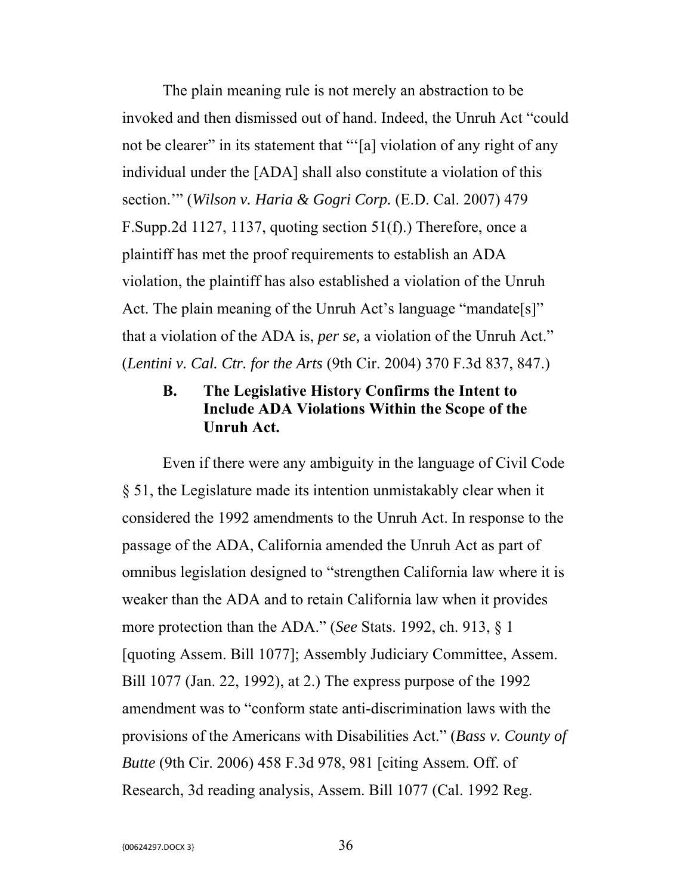The plain meaning rule is not merely an abstraction to be invoked and then dismissed out of hand. Indeed, the Unruh Act "could not be clearer" in its statement that "'[a] violation of any right of any individual under the [ADA] shall also constitute a violation of this section.'" (*Wilson v. Haria & Gogri Corp.* (E.D. Cal. 2007) 479 F.Supp.2d 1127, 1137, quoting section 51(f).) Therefore, once a plaintiff has met the proof requirements to establish an ADA violation, the plaintiff has also established a violation of the Unruh Act. The plain meaning of the Unruh Act's language "mandate[s]" that a violation of the ADA is, *per se,* a violation of the Unruh Act." (*Lentini v. Cal. Ctr. for the Arts* (9th Cir. 2004) 370 F.3d 837, 847.)

## **B. The Legislative History Confirms the Intent to Include ADA Violations Within the Scope of the Unruh Act.**

Even if there were any ambiguity in the language of Civil Code § 51, the Legislature made its intention unmistakably clear when it considered the 1992 amendments to the Unruh Act. In response to the passage of the ADA, California amended the Unruh Act as part of omnibus legislation designed to "strengthen California law where it is weaker than the ADA and to retain California law when it provides more protection than the ADA." (*See* Stats. 1992, ch. 913, § 1 [quoting Assem. Bill 1077]; Assembly Judiciary Committee, Assem. Bill 1077 (Jan. 22, 1992), at 2.) The express purpose of the 1992 amendment was to "conform state anti-discrimination laws with the provisions of the Americans with Disabilities Act." (*Bass v. County of Butte* (9th Cir. 2006) 458 F.3d 978, 981 [citing Assem. Off. of Research, 3d reading analysis, Assem. Bill 1077 (Cal. 1992 Reg.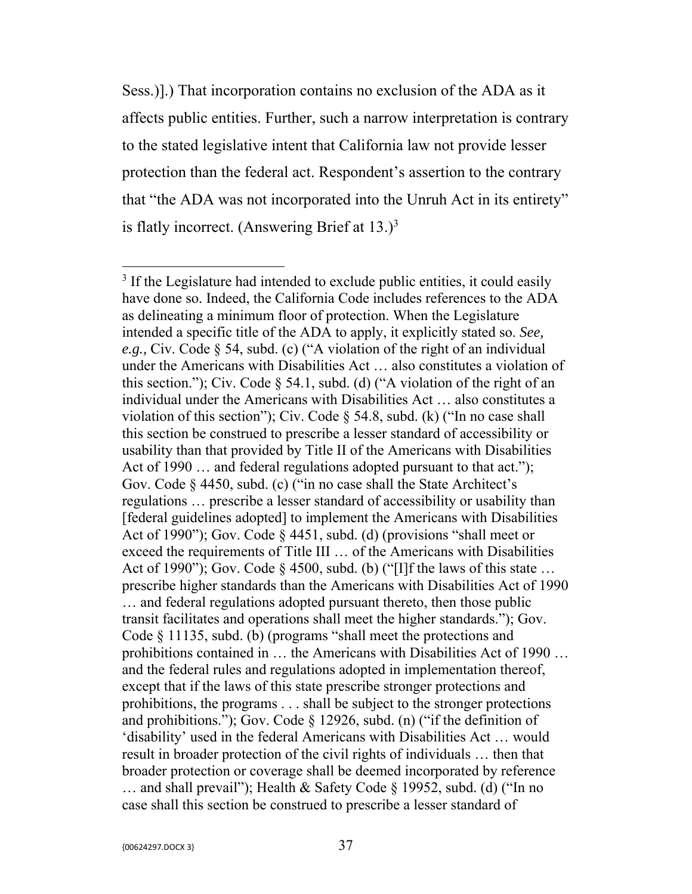Sess.)].) That incorporation contains no exclusion of the ADA as it affects public entities. Further, such a narrow interpretation is contrary to the stated legislative intent that California law not provide lesser protection than the federal act. Respondent's assertion to the contrary that "the ADA was not incorporated into the Unruh Act in its entirety" is flatly incorrect. (Answering Brief at  $13.$ )<sup>3</sup>

<sup>&</sup>lt;sup>3</sup> If the Legislature had intended to exclude public entities, it could easily have done so. Indeed, the California Code includes references to the ADA as delineating a minimum floor of protection. When the Legislature intended a specific title of the ADA to apply, it explicitly stated so. *See, e.g.,* Civ. Code § 54, subd. (c) ("A violation of the right of an individual under the Americans with Disabilities Act … also constitutes a violation of this section."); Civ. Code  $\S$  54.1, subd. (d) ("A violation of the right of an individual under the Americans with Disabilities Act … also constitutes a violation of this section"); Civ. Code  $\S$  54.8, subd. (k) ("In no case shall this section be construed to prescribe a lesser standard of accessibility or usability than that provided by Title II of the Americans with Disabilities Act of 1990 ... and federal regulations adopted pursuant to that act."); Gov. Code § 4450, subd. (c) ("in no case shall the State Architect's regulations … prescribe a lesser standard of accessibility or usability than [federal guidelines adopted] to implement the Americans with Disabilities Act of 1990"); Gov. Code § 4451, subd. (d) (provisions "shall meet or exceed the requirements of Title III … of the Americans with Disabilities Act of 1990"); Gov. Code § 4500, subd. (b) ("[I]f the laws of this state ... prescribe higher standards than the Americans with Disabilities Act of 1990 … and federal regulations adopted pursuant thereto, then those public transit facilitates and operations shall meet the higher standards."); Gov. Code § 11135, subd. (b) (programs "shall meet the protections and prohibitions contained in … the Americans with Disabilities Act of 1990 … and the federal rules and regulations adopted in implementation thereof, except that if the laws of this state prescribe stronger protections and prohibitions, the programs . . . shall be subject to the stronger protections and prohibitions."); Gov. Code § 12926, subd. (n) ("if the definition of 'disability' used in the federal Americans with Disabilities Act … would result in broader protection of the civil rights of individuals … then that broader protection or coverage shall be deemed incorporated by reference … and shall prevail"); Health & Safety Code § 19952, subd. (d) ("In no case shall this section be construed to prescribe a lesser standard of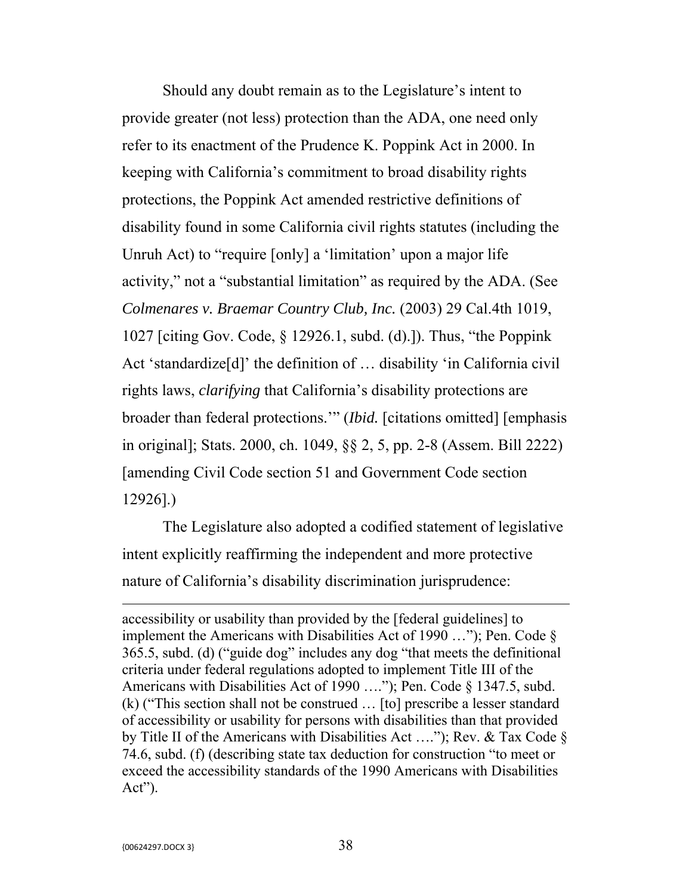Should any doubt remain as to the Legislature's intent to provide greater (not less) protection than the ADA, one need only refer to its enactment of the Prudence K. Poppink Act in 2000. In keeping with California's commitment to broad disability rights protections, the Poppink Act amended restrictive definitions of disability found in some California civil rights statutes (including the Unruh Act) to "require [only] a 'limitation' upon a major life activity," not a "substantial limitation" as required by the ADA. (See *Colmenares v. Braemar Country Club, Inc.* (2003) 29 Cal.4th 1019, 1027 [citing Gov. Code, § 12926.1, subd. (d).]). Thus, "the Poppink Act 'standardize[d]' the definition of … disability 'in California civil rights laws, *clarifying* that California's disability protections are broader than federal protections.'" (*Ibid.* [citations omitted] [emphasis in original]; Stats. 2000, ch. 1049, §§ 2, 5, pp. 2-8 (Assem. Bill 2222) [amending Civil Code section 51 and Government Code section 12926].)

The Legislature also adopted a codified statement of legislative intent explicitly reaffirming the independent and more protective nature of California's disability discrimination jurisprudence:

<u> 1989 - Johann Stein, marwolaethau a bhann an chomhair an t-an chomhair an chomhair an chomhair an chomhair a</u>

accessibility or usability than provided by the [federal guidelines] to implement the Americans with Disabilities Act of 1990 …"); Pen. Code § 365.5, subd. (d) ("guide dog" includes any dog "that meets the definitional criteria under federal regulations adopted to implement Title III of the Americans with Disabilities Act of 1990 …."); Pen. Code § 1347.5, subd. (k) ("This section shall not be construed … [to] prescribe a lesser standard of accessibility or usability for persons with disabilities than that provided by Title II of the Americans with Disabilities Act …."); Rev. & Tax Code § 74.6, subd. (f) (describing state tax deduction for construction "to meet or exceed the accessibility standards of the 1990 Americans with Disabilities Act").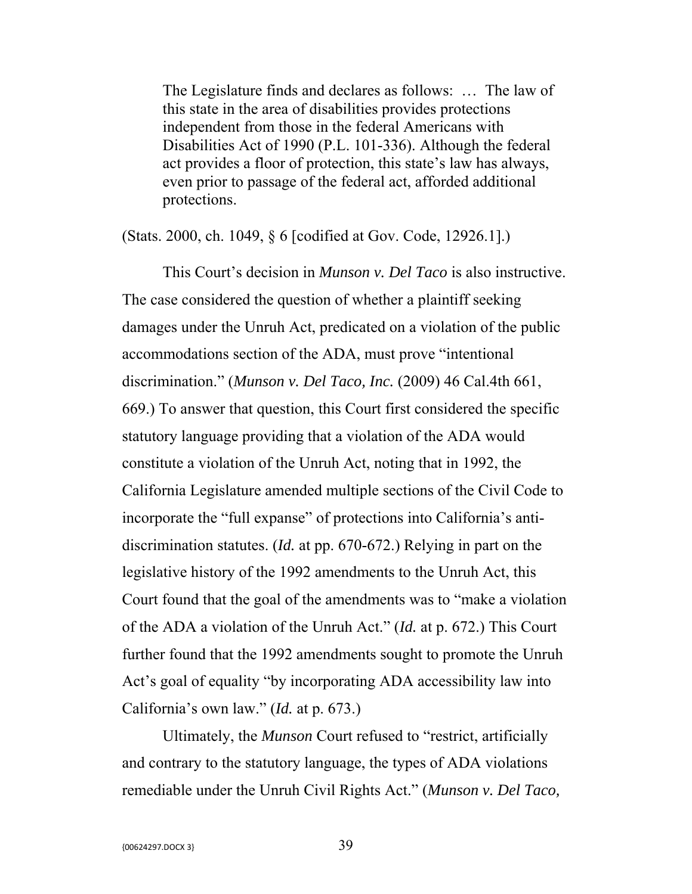The Legislature finds and declares as follows: … The law of this state in the area of disabilities provides protections independent from those in the federal Americans with Disabilities Act of 1990 (P.L. 101-336). Although the federal act provides a floor of protection, this state's law has always, even prior to passage of the federal act, afforded additional protections.

(Stats. 2000, ch. 1049, § 6 [codified at Gov. Code, 12926.1].)

This Court's decision in *Munson v. Del Taco* is also instructive. The case considered the question of whether a plaintiff seeking damages under the Unruh Act, predicated on a violation of the public accommodations section of the ADA, must prove "intentional discrimination." (*Munson v. Del Taco, Inc.* (2009) 46 Cal.4th 661, 669.) To answer that question, this Court first considered the specific statutory language providing that a violation of the ADA would constitute a violation of the Unruh Act, noting that in 1992, the California Legislature amended multiple sections of the Civil Code to incorporate the "full expanse" of protections into California's antidiscrimination statutes. (*Id.* at pp. 670-672.) Relying in part on the legislative history of the 1992 amendments to the Unruh Act, this Court found that the goal of the amendments was to "make a violation of the ADA a violation of the Unruh Act." (*Id.* at p. 672.) This Court further found that the 1992 amendments sought to promote the Unruh Act's goal of equality "by incorporating ADA accessibility law into California's own law." (*Id.* at p. 673.)

Ultimately, the *Munson* Court refused to "restrict, artificially and contrary to the statutory language, the types of ADA violations remediable under the Unruh Civil Rights Act." (*Munson v. Del Taco,*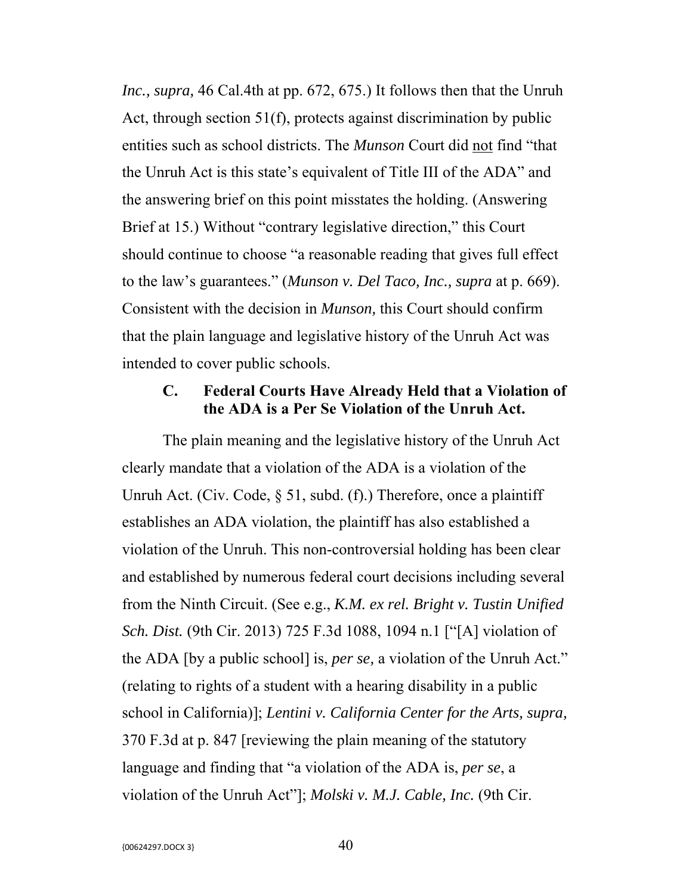*Inc., supra,* 46 Cal.4th at pp. 672, 675.) It follows then that the Unruh Act, through section 51(f), protects against discrimination by public entities such as school districts. The *Munson* Court did not find "that the Unruh Act is this state's equivalent of Title III of the ADA" and the answering brief on this point misstates the holding. (Answering Brief at 15.) Without "contrary legislative direction," this Court should continue to choose "a reasonable reading that gives full effect to the law's guarantees." (*Munson v. Del Taco, Inc., supra* at p. 669). Consistent with the decision in *Munson,* this Court should confirm that the plain language and legislative history of the Unruh Act was intended to cover public schools.

### **C. Federal Courts Have Already Held that a Violation of the ADA is a Per Se Violation of the Unruh Act.**

The plain meaning and the legislative history of the Unruh Act clearly mandate that a violation of the ADA is a violation of the Unruh Act. (Civ. Code, § 51, subd. (f).) Therefore, once a plaintiff establishes an ADA violation, the plaintiff has also established a violation of the Unruh. This non-controversial holding has been clear and established by numerous federal court decisions including several from the Ninth Circuit. (See e.g., *K.M. ex rel. Bright v. Tustin Unified Sch. Dist.* (9th Cir. 2013) 725 F.3d 1088, 1094 n.1 ["[A] violation of the ADA [by a public school] is, *per se,* a violation of the Unruh Act." (relating to rights of a student with a hearing disability in a public school in California)]; *Lentini v. California Center for the Arts, supra,* 370 F.3d at p. 847 [reviewing the plain meaning of the statutory language and finding that "a violation of the ADA is, *per se*, a violation of the Unruh Act"]; *Molski v. M.J. Cable, Inc.* (9th Cir.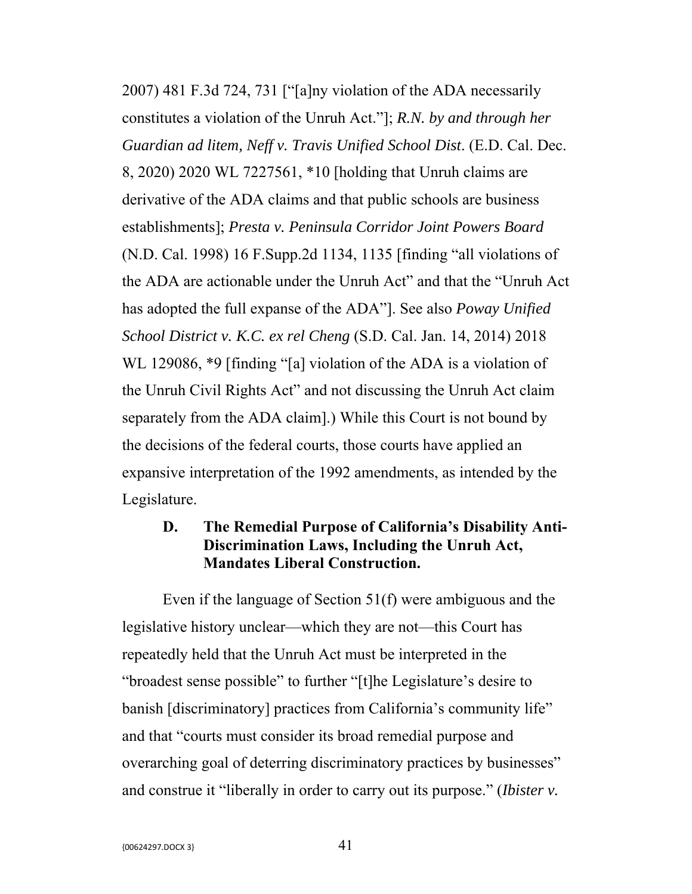2007) 481 F.3d 724, 731 ["[a]ny violation of the ADA necessarily constitutes a violation of the Unruh Act."]; *R.N. by and through her Guardian ad litem, Neff v. Travis Unified School Dist*. (E.D. Cal. Dec. 8, 2020) 2020 WL 7227561, \*10 [holding that Unruh claims are derivative of the ADA claims and that public schools are business establishments]; *Presta v. Peninsula Corridor Joint Powers Board* (N.D. Cal. 1998) 16 F.Supp.2d 1134, 1135 [finding "all violations of the ADA are actionable under the Unruh Act" and that the "Unruh Act has adopted the full expanse of the ADA"]. See also *Poway Unified School District v. K.C. ex rel Cheng* (S.D. Cal. Jan. 14, 2014) 2018 WL 129086, \*9 [finding "[a] violation of the ADA is a violation of the Unruh Civil Rights Act" and not discussing the Unruh Act claim separately from the ADA claim].) While this Court is not bound by the decisions of the federal courts, those courts have applied an expansive interpretation of the 1992 amendments, as intended by the Legislature.

### **D. The Remedial Purpose of California's Disability Anti-Discrimination Laws, Including the Unruh Act, Mandates Liberal Construction.**

Even if the language of Section 51(f) were ambiguous and the legislative history unclear—which they are not—this Court has repeatedly held that the Unruh Act must be interpreted in the "broadest sense possible" to further "[t]he Legislature's desire to banish [discriminatory] practices from California's community life" and that "courts must consider its broad remedial purpose and overarching goal of deterring discriminatory practices by businesses" and construe it "liberally in order to carry out its purpose." (*Ibister v.*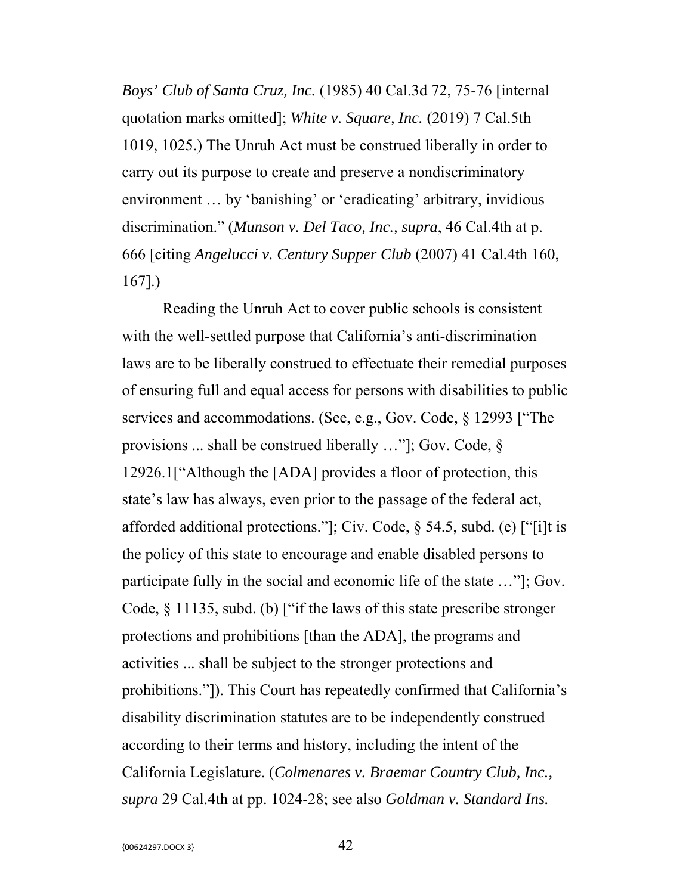*Boys' Club of Santa Cruz, Inc.* (1985) 40 Cal.3d 72, 75-76 [internal quotation marks omitted]; *White v. Square, Inc.* (2019) 7 Cal.5th 1019, 1025.) The Unruh Act must be construed liberally in order to carry out its purpose to create and preserve a nondiscriminatory environment … by 'banishing' or 'eradicating' arbitrary, invidious discrimination." (*Munson v. Del Taco, Inc., supra*, 46 Cal.4th at p. 666 [citing *Angelucci v. Century Supper Club* (2007) 41 Cal.4th 160, 167].)

Reading the Unruh Act to cover public schools is consistent with the well-settled purpose that California's anti-discrimination laws are to be liberally construed to effectuate their remedial purposes of ensuring full and equal access for persons with disabilities to public services and accommodations. (See, e.g., Gov. Code, § 12993 ["The provisions ... shall be construed liberally …"]; Gov. Code, § 12926.1["Although the [ADA] provides a floor of protection, this state's law has always, even prior to the passage of the federal act, afforded additional protections."]; Civ. Code, § 54.5, subd. (e) ["[i]t is the policy of this state to encourage and enable disabled persons to participate fully in the social and economic life of the state …"]; Gov. Code, § 11135, subd. (b) ["if the laws of this state prescribe stronger protections and prohibitions [than the ADA], the programs and activities ... shall be subject to the stronger protections and prohibitions."]). This Court has repeatedly confirmed that California's disability discrimination statutes are to be independently construed according to their terms and history, including the intent of the California Legislature. (*Colmenares v. Braemar Country Club, Inc., supra* 29 Cal.4th at pp. 1024-28; see also *Goldman v. Standard Ins.*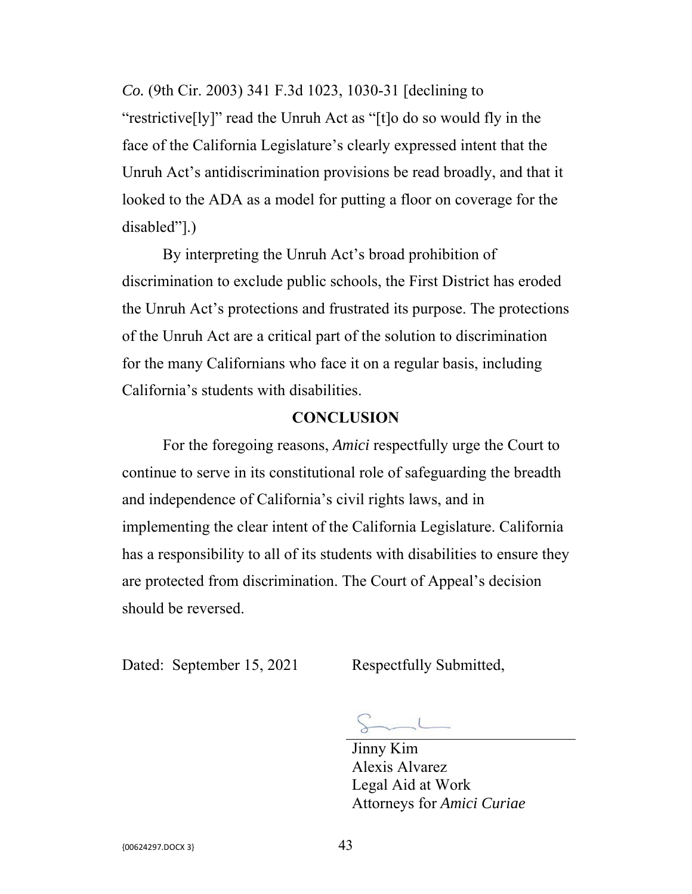*Co.* (9th Cir. 2003) 341 F.3d 1023, 1030-31 [declining to "restrictive[ly]" read the Unruh Act as "[t]o do so would fly in the face of the California Legislature's clearly expressed intent that the Unruh Act's antidiscrimination provisions be read broadly, and that it looked to the ADA as a model for putting a floor on coverage for the disabled"].)

By interpreting the Unruh Act's broad prohibition of discrimination to exclude public schools, the First District has eroded the Unruh Act's protections and frustrated its purpose. The protections of the Unruh Act are a critical part of the solution to discrimination for the many Californians who face it on a regular basis, including California's students with disabilities.

### **CONCLUSION**

For the foregoing reasons, *Amici* respectfully urge the Court to continue to serve in its constitutional role of safeguarding the breadth and independence of California's civil rights laws, and in implementing the clear intent of the California Legislature. California has a responsibility to all of its students with disabilities to ensure they are protected from discrimination. The Court of Appeal's decision should be reversed.

Dated: September 15, 2021 Respectfully Submitted,

 Jinny Kim Alexis Alvarez Legal Aid at Work Attorneys for *Amici Curiae*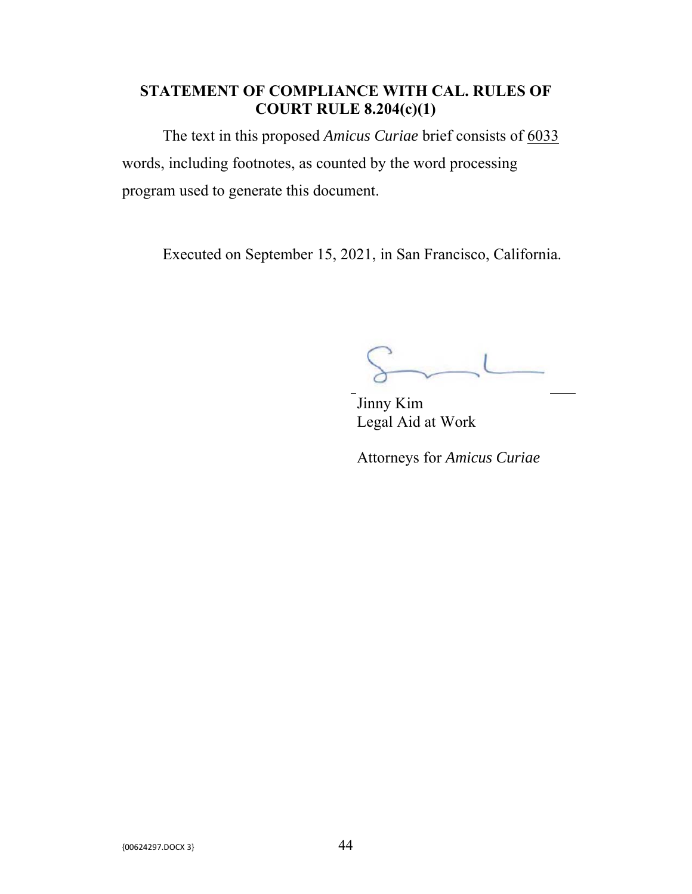## **STATEMENT OF COMPLIANCE WITH CAL. RULES OF COURT RULE 8.204(c)(1)**

The text in this proposed *Amicus Curiae* brief consists of 6033 words, including footnotes, as counted by the word processing program used to generate this document.

Executed on September 15, 2021, in San Francisco, California.

 $\overline{\phantom{a}}$ 

Jinny Kim Legal Aid at Work

Attorneys for *Amicus Curiae*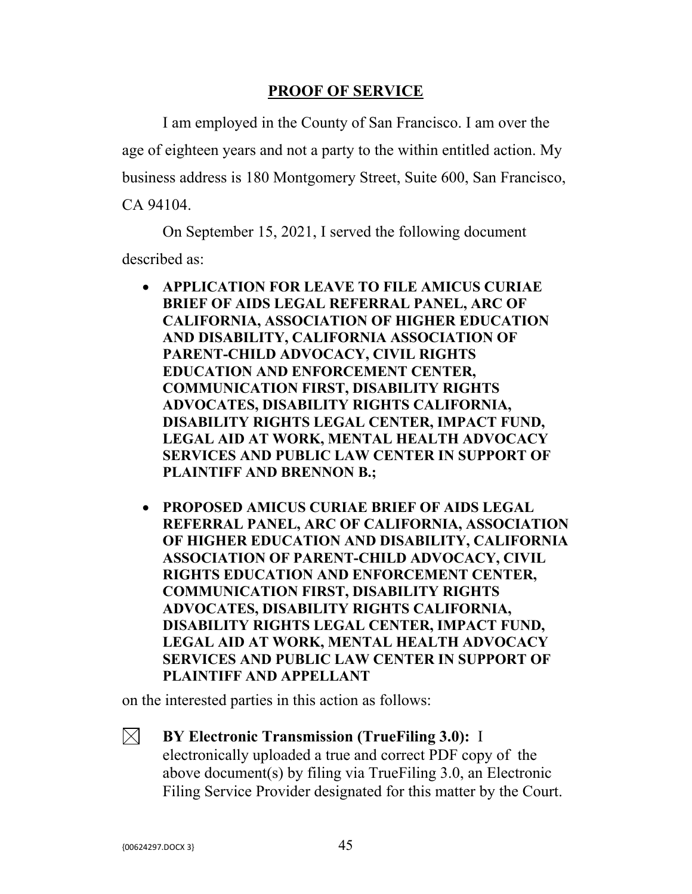### **PROOF OF SERVICE**

 I am employed in the County of San Francisco. I am over the age of eighteen years and not a party to the within entitled action. My business address is 180 Montgomery Street, Suite 600, San Francisco, CA 94104.

 On September 15, 2021, I served the following document described as:

- **APPLICATION FOR LEAVE TO FILE AMICUS CURIAE BRIEF OF AIDS LEGAL REFERRAL PANEL, ARC OF CALIFORNIA, ASSOCIATION OF HIGHER EDUCATION AND DISABILITY, CALIFORNIA ASSOCIATION OF PARENT-CHILD ADVOCACY, CIVIL RIGHTS EDUCATION AND ENFORCEMENT CENTER, COMMUNICATION FIRST, DISABILITY RIGHTS ADVOCATES, DISABILITY RIGHTS CALIFORNIA, DISABILITY RIGHTS LEGAL CENTER, IMPACT FUND, LEGAL AID AT WORK, MENTAL HEALTH ADVOCACY SERVICES AND PUBLIC LAW CENTER IN SUPPORT OF PLAINTIFF AND BRENNON B.;**
- **PROPOSED AMICUS CURIAE BRIEF OF AIDS LEGAL REFERRAL PANEL, ARC OF CALIFORNIA, ASSOCIATION OF HIGHER EDUCATION AND DISABILITY, CALIFORNIA ASSOCIATION OF PARENT-CHILD ADVOCACY, CIVIL RIGHTS EDUCATION AND ENFORCEMENT CENTER, COMMUNICATION FIRST, DISABILITY RIGHTS ADVOCATES, DISABILITY RIGHTS CALIFORNIA, DISABILITY RIGHTS LEGAL CENTER, IMPACT FUND, LEGAL AID AT WORK, MENTAL HEALTH ADVOCACY SERVICES AND PUBLIC LAW CENTER IN SUPPORT OF PLAINTIFF AND APPELLANT**

on the interested parties in this action as follows:

 $\bowtie$ **BY Electronic Transmission (TrueFiling 3.0):** I electronically uploaded a true and correct PDF copy of the above document(s) by filing via TrueFiling 3.0, an Electronic Filing Service Provider designated for this matter by the Court.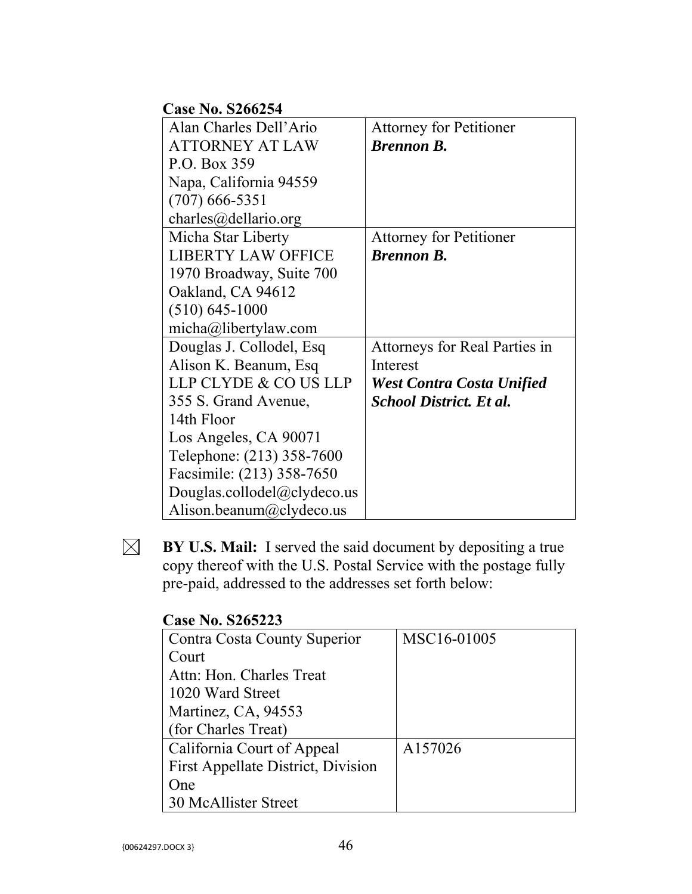## **Case No. S266254**

| Alan Charles Dell'Ario      | <b>Attorney for Petitioner</b> |
|-----------------------------|--------------------------------|
| <b>ATTORNEY AT LAW</b>      | <b>Brennon B.</b>              |
| P.O. Box 359                |                                |
| Napa, California 94559      |                                |
| $(707)$ 666-5351            |                                |
| charles@dellario.org        |                                |
| Micha Star Liberty          | <b>Attorney for Petitioner</b> |
| <b>LIBERTY LAW OFFICE</b>   | <b>Brennon B.</b>              |
| 1970 Broadway, Suite 700    |                                |
| Oakland, CA 94612           |                                |
| $(510) 645 - 1000$          |                                |
| micha@libertylaw.com        |                                |
| Douglas J. Collodel, Esq    | Attorneys for Real Parties in  |
| Alison K. Beanum, Esq       | Interest                       |
| LLP CLYDE & CO US LLP       | West Contra Costa Unified      |
| 355 S. Grand Avenue,        | <b>School District. Et al.</b> |
| 14th Floor                  |                                |
| Los Angeles, CA 90071       |                                |
| Telephone: (213) 358-7600   |                                |
| Facsimile: (213) 358-7650   |                                |
| Douglas.collodel@clydeco.us |                                |
| Alison.beanum@clydeco.us    |                                |

**BY U.S. Mail:** I served the said document by depositing a true copy thereof with the U.S. Postal Service with the postage fully pre-paid, addressed to the addresses set forth below:

### **Case No. S265223**

| Contra Costa County Superior       | MSC <sub>16</sub> -01005 |
|------------------------------------|--------------------------|
| Court                              |                          |
| Attn: Hon. Charles Treat           |                          |
| 1020 Ward Street                   |                          |
| Martinez, CA, 94553                |                          |
| (for Charles Treat)                |                          |
| California Court of Appeal         | A157026                  |
| First Appellate District, Division |                          |
| One                                |                          |
| 30 McAllister Street               |                          |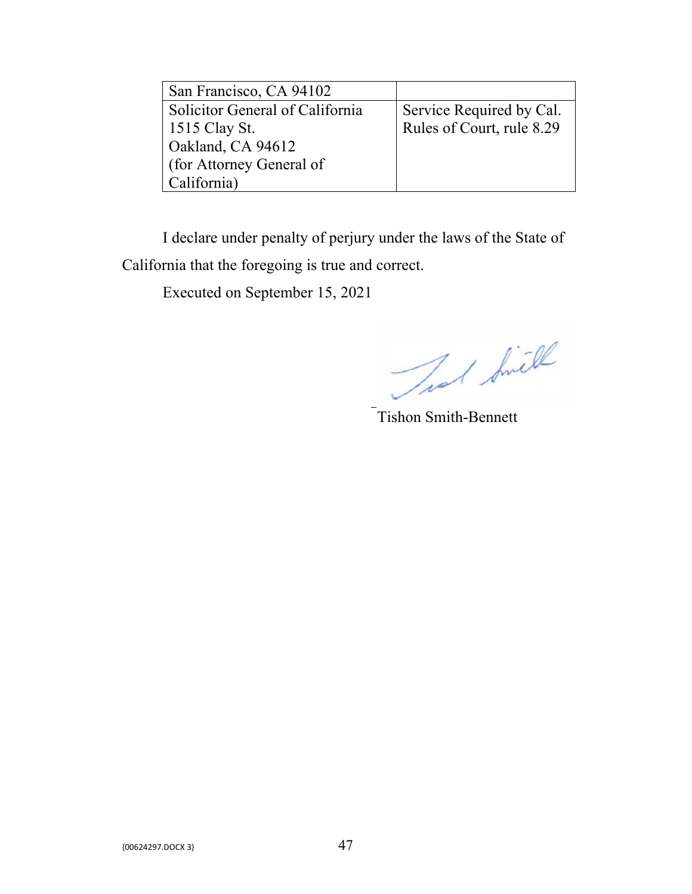| San Francisco, CA 94102         |                           |
|---------------------------------|---------------------------|
| Solicitor General of California | Service Required by Cal.  |
| 1515 Clay St.                   | Rules of Court, rule 8.29 |
| Oakland, CA 94612               |                           |
| (for Attorney General of        |                           |
| California)                     |                           |

I declare under penalty of perjury under the laws of the State of California that the foregoing is true and correct.

Executed on September 15, 2021

That Smill

Tishon Smith-Bennett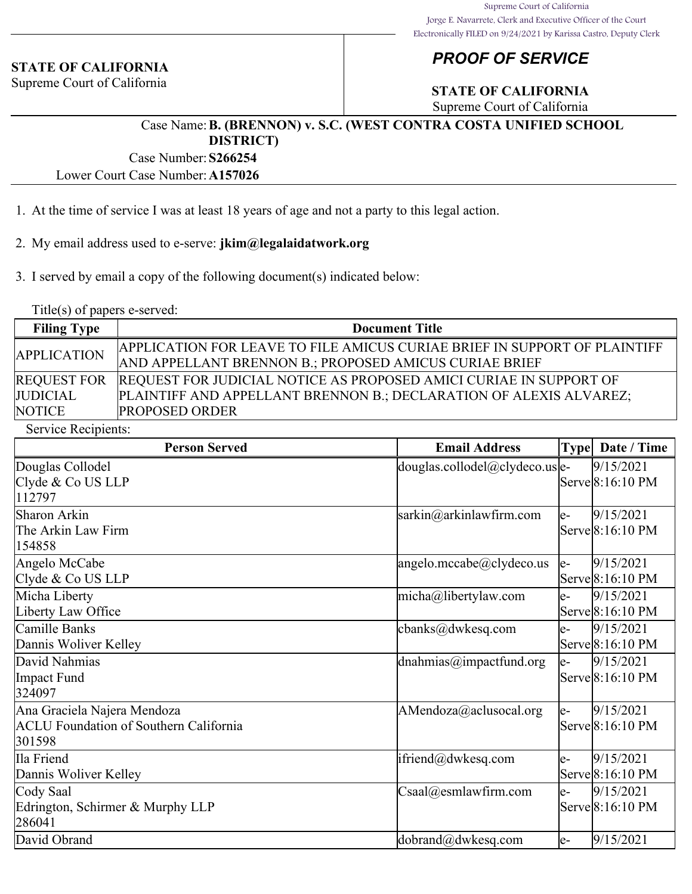#### **STATE OF CALIFORNIA**

Supreme Court of California

## *PROOF OF SERVICE*

## **STATE OF CALIFORNIA**

Supreme Court of California

#### Case Name:**B. (BRENNON) v. S.C. (WEST CONTRA COSTA UNIFIED SCHOOL DISTRICT)**

Case Number:**S266254**

Lower Court Case Number:**A157026**

- 1. At the time of service I was at least 18 years of age and not a party to this legal action.
- 2. My email address used to e-serve: **jkim@legalaidatwork.org**
- 3. I served by email a copy of the following document(s) indicated below:

Title(s) of papers e-served:

| <b>Filing Type</b> | <b>Document Title</b>                                                          |
|--------------------|--------------------------------------------------------------------------------|
| <b>APPLICATION</b> | APPLICATION FOR LEAVE TO FILE AMICUS CURIAE BRIEF IN SUPPORT OF PLAINTIFF      |
|                    | <b>AND APPELLANT BRENNON B.; PROPOSED AMICUS CURIAE BRIEF</b>                  |
|                    | REQUEST FOR REQUEST FOR JUDICIAL NOTICE AS PROPOSED AMICI CURIAE IN SUPPORT OF |
| <b>JUDICIAL</b>    | PLAINTIFF AND APPELLANT BRENNON B.; DECLARATION OF ALEXIS ALVAREZ;             |
| <b>NOTICE</b>      | <b>PROPOSED ORDER</b>                                                          |

Service Recipients:

| <b>Person Served</b>                                                                   | <b>Email Address</b>                                            |     | Type   Date / Time            |
|----------------------------------------------------------------------------------------|-----------------------------------------------------------------|-----|-------------------------------|
| Douglas Collodel<br>Clyde & Co US LLP                                                  | $\vert$ douglas.collodel $\langle \omega$ clydeco.us $\vert$ e- |     | 9/15/2021<br>Serve 8:16:10 PM |
| 112797<br>Sharon Arkin<br>The Arkin Law Firm<br>154858                                 | $\sqrt{\text{sarkin}(a)}$ arkinlawfirm.com                      | le- | 9/15/2021<br>Serve 8:16:10 PM |
| Angelo McCabe<br>Clyde & Co US LLP                                                     | angelo.mccabe@clydeco.us                                        | le- | 9/15/2021<br>Serve 8:16:10 PM |
| Micha Liberty<br>Liberty Law Office                                                    | micha@libertylaw.com                                            | le- | 9/15/2021<br>Serve 8:16:10 PM |
| Camille Banks<br>Dannis Woliver Kelley                                                 | cbanks@dwkesq.com                                               | le- | 9/15/2021<br>Serve 8:16:10 PM |
| David Nahmias<br>Impact Fund<br>324097                                                 | $\alpha$ dnahmias $\omega$ impactfund.org                       | le- | 9/15/2021<br>Serve 8:16:10 PM |
| Ana Graciela Najera Mendoza<br><b>ACLU Foundation of Southern California</b><br>301598 | $A$ Mendoza $@$ aclusocal.org                                   | le- | 9/15/2021<br>Serve 8:16:10 PM |
| Ila Friend<br>Dannis Woliver Kelley                                                    | ifriend@dwkesq.com                                              | le- | 9/15/2021<br>Serve 8:16:10 PM |
| Cody Saal<br>Edrington, Schirmer & Murphy LLP<br>286041                                | $\text{Csaal}(a)$ esmlawfirm.com                                | le- | 9/15/2021<br>Serve 8:16:10 PM |
| David Obrand                                                                           | dobrand@dwkesq.com                                              | le- | 9/15/2021                     |